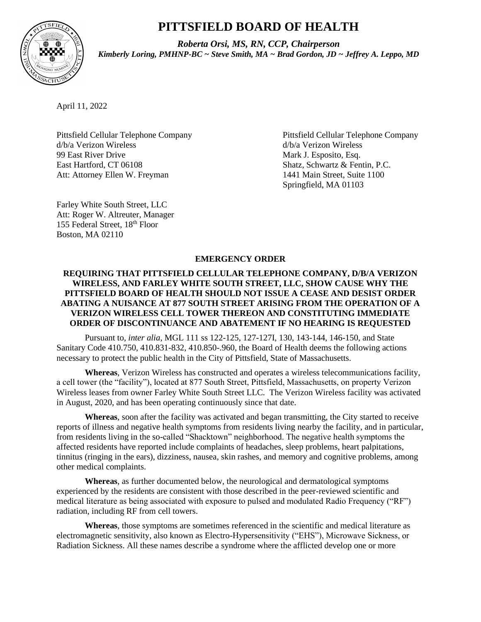# **PITTSFIELD BOARD OF HEALTH**



*Roberta Orsi, MS, RN, CCP, Chairperson Kimberly Loring, PMHNP-BC ~ Steve Smith, MA ~ Brad Gordon, JD ~ Jeffrey A. Leppo, MD*

April 11, 2022

d/b/a Verizon Wireless d/b/a Verizon Wireless 99 East River Drive Mark J. Esposito, Esq. East Hartford, CT 06108 Shatz, Schwartz & Fentin, P.C. Att: Attorney Ellen W. Freyman 1441 Main Street, Suite 1100

Pittsfield Cellular Telephone Company Pittsfield Cellular Telephone Company Springfield, MA 01103

Farley White South Street, LLC Att: Roger W. Altreuter, Manager 155 Federal Street, 18th Floor Boston, MA 02110

# **EMERGENCY ORDER**

# **REQUIRING THAT PITTSFIELD CELLULAR TELEPHONE COMPANY, D/B/A VERIZON WIRELESS, AND FARLEY WHITE SOUTH STREET, LLC, SHOW CAUSE WHY THE PITTSFIELD BOARD OF HEALTH SHOULD NOT ISSUE A CEASE AND DESIST ORDER ABATING A NUISANCE AT 877 SOUTH STREET ARISING FROM THE OPERATION OF A VERIZON WIRELESS CELL TOWER THEREON AND CONSTITUTING IMMEDIATE ORDER OF DISCONTINUANCE AND ABATEMENT IF NO HEARING IS REQUESTED**

Pursuant to, *inter alia*, MGL 111 ss 122-125, 127-127I, 130, 143-144, 146-150, and State Sanitary Code 410.750, 410.831-832, 410.850-.960, the Board of Health deems the following actions necessary to protect the public health in the City of Pittsfield, State of Massachusetts.

**Whereas**, Verizon Wireless has constructed and operates a wireless telecommunications facility, a cell tower (the "facility"), located at 877 South Street, Pittsfield, Massachusetts, on property Verizon Wireless leases from owner Farley White South Street LLC. The Verizon Wireless facility was activated in August, 2020, and has been operating continuously since that date.

**Whereas**, soon after the facility was activated and began transmitting, the City started to receive reports of illness and negative health symptoms from residents living nearby the facility, and in particular, from residents living in the so-called "Shacktown" neighborhood. The negative health symptoms the affected residents have reported include complaints of headaches, sleep problems, heart palpitations, tinnitus (ringing in the ears), dizziness, nausea, skin rashes, and memory and cognitive problems, among other medical complaints.

**Whereas**, as further documented below, the neurological and dermatological symptoms experienced by the residents are consistent with those described in the peer-reviewed scientific and medical literature as being associated with exposure to pulsed and modulated Radio Frequency ("RF") radiation, including RF from cell towers.

**Whereas**, those symptoms are sometimes referenced in the scientific and medical literature as electromagnetic sensitivity, also known as Electro-Hypersensitivity ("EHS"), Microwave Sickness, or Radiation Sickness. All these names describe a syndrome where the afflicted develop one or more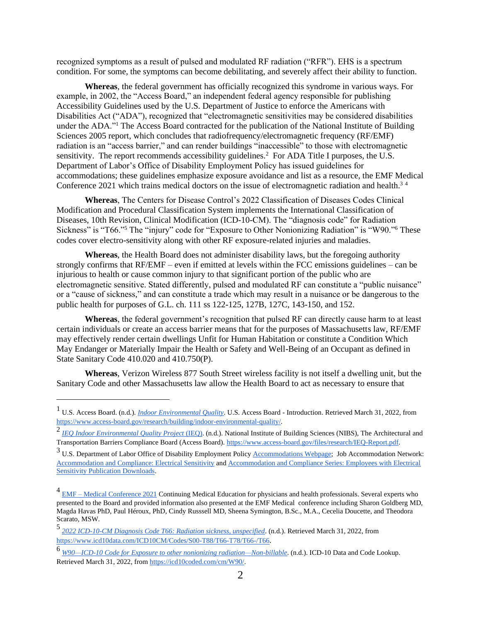recognized symptoms as a result of pulsed and modulated RF radiation ("RFR"). EHS is a spectrum condition. For some, the symptoms can become debilitating, and severely affect their ability to function.

**Whereas**, the federal government has officially recognized this syndrome in various ways. For example, in 2002, the "Access Board," an independent federal agency responsible for publishing Accessibility Guidelines used by the U.S. Department of Justice to enforce the Americans with Disabilities Act ("ADA"), recognized that "electromagnetic sensitivities may be considered disabilities under the ADA."<sup>1</sup> The Access Board contracted for the publication of the National Institute of Building Sciences 2005 report, which concludes that radiofrequency/electromagnetic frequency (RF/EMF) radiation is an "access barrier," and can render buildings "inaccessible" to those with electromagnetic sensitivity. The report recommends accessibility guidelines.<sup>2</sup> For ADA Title I purposes, the U.S. Department of Labor's Office of Disability Employment Policy has issued guidelines for accommodations; these guidelines emphasize exposure avoidance and list as a resource, the EMF Medical Conference 2021 which trains medical doctors on the issue of electromagnetic radiation and health.<sup>34</sup>

**Whereas**, The Centers for Disease Control's 2022 Classification of Diseases Codes Clinical Modification and Procedural Classification System implements the International Classification of Diseases, 10th Revision, Clinical Modification (ICD-10-CM). The "diagnosis code" for Radiation Sickness" is "T66."<sup>5</sup> The "injury" code for "Exposure to Other Nonionizing Radiation" is "W90."<sup>6</sup> These codes cover electro-sensitivity along with other RF exposure-related injuries and maladies.

**Whereas**, the Health Board does not administer disability laws, but the foregoing authority strongly confirms that RF/EMF – even if emitted at levels within the FCC emissions guidelines – can be injurious to health or cause common injury to that significant portion of the public who are electromagnetic sensitive. Stated differently, pulsed and modulated RF can constitute a "public nuisance" or a "cause of sickness," and can constitute a trade which may result in a nuisance or be dangerous to the public health for purposes of G.L. ch. 111 ss 122-125, 127B, 127C, 143-150, and 152.

**Whereas**, the federal government's recognition that pulsed RF can directly cause harm to at least certain individuals or create an access barrier means that for the purposes of Massachusetts law, RF/EMF may effectively render certain dwellings Unfit for Human Habitation or constitute a Condition Which May Endanger or Materially Impair the Health or Safety and Well-Being of an Occupant as defined in State Sanitary Code 410.020 and 410.750(P).

**Whereas**, Verizon Wireless 877 South Street wireless facility is not itself a dwelling unit, but the Sanitary Code and other Massachusetts law allow the Health Board to act as necessary to ensure that

<sup>1</sup> U.S. Access Board. (n.d.). *[Indoor Environmental Quality](https://www.access-board.gov/research/building/indoor-environmental-quality/)*. U.S. Access Board - Introduction. Retrieved March 31, 2022, fro[m](https://www.access-board.gov/research/building/indoor-environmental-quality/) [https://www.access-board.gov/research/building/indoor-environmental-quality/.](https://www.access-board.gov/research/building/indoor-environmental-quality/)

<sup>2</sup> *[IEQ Indoor Environmental Quality Project](https://www.access-board.gov/files/research/IEQ-Report.pdf)* [\(IEQ\).](https://www.access-board.gov/files/research/IEQ-Report.pdf) (n.d.). National Institute of Building Sciences (NIBS), The Architectural and Transportation Barriers Compliance Board (Access Board[\).](https://www.access-board.gov/files/research/IEQ-Report.pdf) [https://www.access-board.gov/files/research/IEQ-Report.pdf.](https://www.access-board.gov/files/research/IEQ-Report.pdf)

<sup>&</sup>lt;sup>3</sup> U.S. Department of Labor Office of Disability Employment Policy [Accommodations Webpage;](https://www.dol.gov/agencies/odep/program-areas/employers/accommodations) Job Accommodation Network: [Accommodation and Compliance: Electrical Sensitivity](https://askjan.org/disabilities/Electrical-Sensitivity.cfm#otherinfo) an[d Accommodation and Compliance Series: Employees with Electrical](https://askjan.org/publications/Disability-Downloads.cfm?pubid=226622)  [Sensitivity Publication Downloads.](https://askjan.org/publications/Disability-Downloads.cfm?pubid=226622)

<sup>&</sup>lt;sup>4</sup> EMF – [Medical Conference 2021](https://emfconference2021.com/) Continuing Medical Education for physicians and health professionals. Several experts who presented to the Board and provided information also presented at the EMF Medical conference including Sharon Goldberg MD, Magda Havas PhD, Paul Héroux, PhD, Cindy Russsell MD, Sheena Symington, B.Sc., M.A., Cecelia Doucette, and Theodora Scarato, MSW.

<sup>5</sup> *[2022 ICD-10-CM Diagnosis Code T66: Radiation sickness, unspecified](https://www.icd10data.com/ICD10CM/Codes/S00-T88/T66-T78/T66-/T66)*. (n.d.). Retrieved March 31, 2022, fro[m](https://www.icd10data.com/ICD10CM/Codes/S00-T88/T66-T78/T66-/T66) <https://www.icd10data.com/ICD10CM/Codes/S00-T88/T66-T78/T66-/T66>.

<sup>6</sup> *[W90—ICD-10 Code for Exposure to other nonionizing radiation—Non-billable](https://icd10coded.com/cm/W90/)*. (n.d.). ICD-10 Data and Code Lookup. Retrieved March 31, 2022, fro[m](https://icd10coded.com/cm/W90/) [https://icd10coded.com/cm/W90/.](https://icd10coded.com/cm/W90/)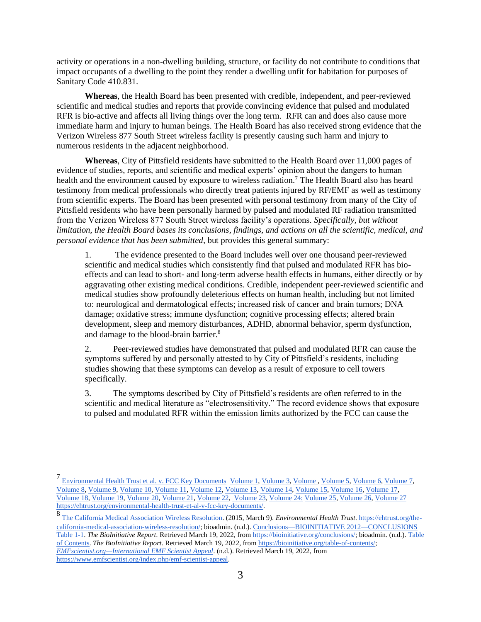activity or operations in a non-dwelling building, structure, or facility do not contribute to conditions that impact occupants of a dwelling to the point they render a dwelling unfit for habitation for purposes of Sanitary Code 410.831.

**Whereas**, the Health Board has been presented with credible, independent, and peer-reviewed scientific and medical studies and reports that provide convincing evidence that pulsed and modulated RFR is bio-active and affects all living things over the long term. RFR can and does also cause more immediate harm and injury to human beings. The Health Board has also received strong evidence that the Verizon Wireless 877 South Street wireless facility is presently causing such harm and injury to numerous residents in the adjacent neighborhood.

**Whereas**, City of Pittsfield residents have submitted to the Health Board over 11,000 pages of evidence of studies, reports, and scientific and medical experts' opinion about the dangers to human health and the environment caused by exposure to wireless radiation.<sup>7</sup> The Health Board also has heard testimony from medical professionals who directly treat patients injured by RF/EMF as well as testimony from scientific experts. The Board has been presented with personal testimony from many of the City of Pittsfield residents who have been personally harmed by pulsed and modulated RF radiation transmitted from the Verizon Wireless 877 South Street wireless facility's operations. *Specifically, but without limitation, the Health Board bases its conclusions, findings, and actions on all the scientific, medical, and personal evidence that has been submitted*, but provides this general summary:

1. The evidence presented to the Board includes well over one thousand peer-reviewed scientific and medical studies which consistently find that pulsed and modulated RFR has bioeffects and can lead to short- and long-term adverse health effects in humans, either directly or by aggravating other existing medical conditions. Credible, independent peer-reviewed scientific and medical studies show profoundly deleterious effects on human health, including but not limited to: neurological and dermatological effects; increased risk of cancer and brain tumors; DNA damage; oxidative stress; immune dysfunction; cognitive processing effects; altered brain development, sleep and memory disturbances, ADHD, abnormal behavior, sperm dysfunction, and damage to the blood-brain barrier.<sup>8</sup>

2. Peer-reviewed studies have demonstrated that pulsed and modulated RFR can cause the symptoms suffered by and personally attested to by City of Pittsfield's residents, including studies showing that these symptoms can develop as a result of exposure to cell towers specifically.

3. The symptoms described by City of Pittsfield's residents are often referred to in the scientific and medical literature as "electrosensitivity." The record evidence shows that exposure to pulsed and modulated RFR within the emission limits authorized by the FCC can cause the

<sup>7&</sup>lt;br>[Environmental Health Trust et al. v. FCC Key Documents](https://ehtrust.org/environmental-health-trust-et-al-v-fcc-key-documents/) [Volume 1,](https://ehtrust.org/wp-content/uploads/PACER-JA-Vol-2-Dr.-Moskowitz-.pdf) [Volume 3,](https://ehtrust.org/wp-content/uploads/PACER-JA-Vol-3.pdf) [Volume ,](https://ehtrust.org/wp-content/uploads/PACER-JA-Vol-4.pdf) [Volume 5,](https://ehtrust.org/wp-content/uploads/PACER-JA-Vol-5.pdf) [Volume 6,](https://ehtrust.org/wp-content/uploads/PACER-JA-Vol-6.pdf) [Volume 7,](https://ehtrust.org/wp-content/uploads/PACER-JA-Vol-7.pdf) [Volume 8,](https://ehtrust.org/wp-content/uploads/PACER-JA-Vol-8.pdf) [Volume 9,](https://ehtrust.org/wp-content/uploads/PACER-JA-Vol-9.pdf) [Volume 10,](https://ehtrust.org/wp-content/uploads/PACER-JA-Vol-10.pdf) [Volume 11,](https://ehtrust.org/wp-content/uploads/PACER-JA-Vol-11.pdf) [Volume 12,](https://ehtrust.org/wp-content/uploads/PACER-JA-Vol-12.pdf) [Volume 13,](https://ehtrust.org/wp-content/uploads/PACER-JA-Vol-13.pdf) [Volume 14,](https://ehtrust.org/wp-content/uploads/PACER-JA-Vol-14.pdf) [Volume 15,](https://ehtrust.org/wp-content/uploads/PACER-JA-Vol-15.pdf) [Volume 16,](https://ehtrust.org/wp-content/uploads/PACER-JA-Vol-16.pdf) [Volume 17,](https://ehtrust.org/wp-content/uploads/Pacer-JA-Vol-17-Replacement.pdf) [Volume 18,](https://ehtrust.org/wp-content/uploads/PACER-JA-Vol-18.pdf) [Volume 19,](https://ehtrust.org/wp-content/uploads/PACER-JA-Vol-19.pdf) [Volume 20,](https://ehtrust.org/wp-content/uploads/PACER-JA-Vol-20.pdf) [Volume 21,](https://ehtrust.org/wp-content/uploads/PACER-JA-Vol-21.pdf) [Volume 22,](https://ehtrust.org/wp-content/uploads/PACER-JA-Vol-22.pdf) [Volume 23,](https://ehtrust.org/wp-content/uploads/PACER-JA-Vol-23.pdf) [Volume 24:](https://ehtrust.org/wp-content/uploads/PACER-JA-Vol-24.pdf) [Volume 25,](https://ehtrust.org/wp-content/uploads/PACER-JA-Vol-25.pdf) [Volume 26,](https://ehtrust.org/wp-content/uploads/PACER-JA-Vol-26.pdf) [Volume 27](https://ehtrust.org/wp-content/uploads/PACER-Supplemental-JA-Vol-27.pdf) [https://ehtrust.org/environmental-health-trust-et-al-v-fcc-key-documents/.](https://ehtrust.org/environmental-health-trust-et-al-v-fcc-key-documents/)

<sup>8</sup> [The California Medical Association Wireless Resolution.](https://ehtrust.org/the-california-medical-association-wireless-resolution/) (2015, March 9). *Environmental Health Trust*[.](https://ehtrust.org/the-california-medical-association-wireless-resolution/) [https://ehtrust.org/the](https://ehtrust.org/the-california-medical-association-wireless-resolution/)[california-medical-association-wireless-resolution/;](https://ehtrust.org/the-california-medical-association-wireless-resolution/) bioadmin. (n.d.). [Conclusions—BIOINITIATIVE 2012—CONCLUSIONS](https://bioinitiative.org/conclusions/)  [Table 1-1.](https://bioinitiative.org/conclusions/) *The BioInitiative Report*. Retrieved March 19, 2022, fro[m](https://bioinitiative.org/conclusions/) [https://bioinitiative.org/conclusions/;](https://bioinitiative.org/conclusions/) bioadmin. (n.d.)[. Table](https://bioinitiative.org/table-of-contents/)  [of Contents.](https://bioinitiative.org/table-of-contents/) *The BioInitiative Report*. Retrieved March 19, 2022, fro[m](https://bioinitiative.org/table-of-contents/) [https://bioinitiative.org/table-of-contents/;](https://bioinitiative.org/table-of-contents/) *[EMFscientist.org—International EMF Scientist Appeal](https://www.emfscientist.org/index.php/emf-scientist-appeal)*. (n.d.). Retrieved March 19, 2022, fro[m](https://www.emfscientist.org/index.php/emf-scientist-appeal) [https://www.emfscientist.org/index.php/emf-scientist-appeal.](https://www.emfscientist.org/index.php/emf-scientist-appeal)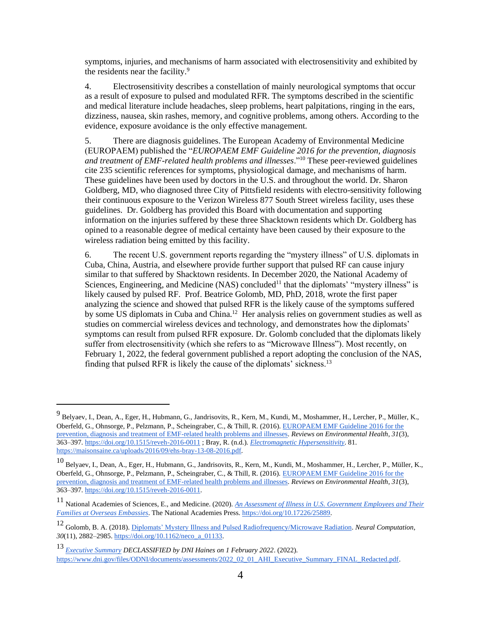symptoms, injuries, and mechanisms of harm associated with electrosensitivity and exhibited by the residents near the facility.<sup>9</sup>

4. Electrosensitivity describes a constellation of mainly neurological symptoms that occur as a result of exposure to pulsed and modulated RFR. The symptoms described in the scientific and medical literature include headaches, sleep problems, heart palpitations, ringing in the ears, dizziness, nausea, skin rashes, memory, and cognitive problems, among others. According to the evidence, exposure avoidance is the only effective management.

5. There are diagnosis guidelines. The European Academy of Environmental Medicine (EUROPAEM) published the "*EUROPAEM EMF Guideline 2016 for the prevention, diagnosis and treatment of EMF-related health problems and illnesses*."<sup>10</sup> These peer-reviewed guidelines cite 235 scientific references for symptoms, physiological damage, and mechanisms of harm. These guidelines have been used by doctors in the U.S. and throughout the world. Dr. Sharon Goldberg, MD, who diagnosed three City of Pittsfield residents with electro-sensitivity following their continuous exposure to the Verizon Wireless 877 South Street wireless facility, uses these guidelines. Dr. Goldberg has provided this Board with documentation and supporting information on the injuries suffered by these three Shacktown residents which Dr. Goldberg has opined to a reasonable degree of medical certainty have been caused by their exposure to the wireless radiation being emitted by this facility.

6. The recent U.S. government reports regarding the "mystery illness" of U.S. diplomats in Cuba, China, Austria, and elsewhere provide further support that pulsed RF can cause injury similar to that suffered by Shacktown residents. In December 2020, the National Academy of Sciences, Engineering, and Medicine (NAS) concluded<sup>11</sup> that the diplomats' "mystery illness" is likely caused by pulsed RF. Prof. Beatrice Golomb, MD, PhD, 2018, wrote the first paper analyzing the science and showed that pulsed RFR is the likely cause of the symptoms suffered by some US diplomats in Cuba and China.<sup>12</sup> Her analysis relies on government studies as well as studies on commercial wireless devices and technology, and demonstrates how the diplomats' symptoms can result from pulsed RFR exposure. Dr. Golomb concluded that the diplomats likely suffer from electrosensitivity (which she refers to as "Microwave Illness"). Most recently, on February 1, 2022, the federal government published a report adopting the conclusion of the NAS, finding that pulsed RFR is likely the cause of the diplomats' sickness.<sup>13</sup>

<sup>13</sup> *[Executive Summary](https://www.dni.gov/files/ODNI/documents/assessments/2022_02_01_AHI_Executive_Summary_FINAL_Redacted.pdf) DECLASSIFIED by DNI Haines on 1 February 2022*. (2022). [https://www.dni.gov/files/ODNI/documents/assessments/2022\\_02\\_01\\_AHI\\_Executive\\_Summary\\_FINAL\\_Redacted.pdf.](https://www.dni.gov/files/ODNI/documents/assessments/2022_02_01_AHI_Executive_Summary_FINAL_Redacted.pdf)

<sup>9</sup> Belyaev, I., Dean, A., Eger, H., Hubmann, G., Jandrisovits, R., Kern, M., Kundi, M., Moshammer, H., Lercher, P., Müller, K., Oberfeld, G., Ohnsorge, P., Pelzmann, P., Scheingraber, C., & Thill, R. (2016)[. EUROPAEM EMF Guideline 2016 for the](https://pubmed.ncbi.nlm.nih.gov/27454111/)  [prevention, diagnosis and treatment of EMF-related health problems and illnesses.](https://pubmed.ncbi.nlm.nih.gov/27454111/) *Reviews on Environmental Health*, *31*(3), 363–397. <https://doi.org/10.1515/reveh-2016-0011> ; Bray, R. (n.d.). *[Electromagnetic Hypersensitivity](https://maisonsaine.ca/uploads/2016/09/ehs-bray-13-08-2016.pdf)*. 81. [https://maisonsaine.ca/uploads/2016/09/ehs-bray-13-08-2016.pdf.](https://maisonsaine.ca/uploads/2016/09/ehs-bray-13-08-2016.pdf)

<sup>10</sup> Belyaev, I., Dean, A., Eger, H., Hubmann, G., Jandrisovits, R., Kern, M., Kundi, M., Moshammer, H., Lercher, P., Müller, K., Oberfeld, G., Ohnsorge, P., Pelzmann, P., Scheingraber, C., & Thill, R. (2016)[. EUROPAEM EMF Guideline 2016 for the](https://doi.org/10.1515/reveh-2016-0011)  [prevention, diagnosis and treatment of EMF-related health problems and illnesses.](https://doi.org/10.1515/reveh-2016-0011) *Reviews on Environmental Health*, *31*(3), 363–397. [https://doi.org/10.1515/reveh-2016-0011.](https://doi.org/10.1515/reveh-2016-0011)

<sup>11</sup> National Academies of Sciences, E., and Medicine. (2020). *[An Assessment of Illness in U.S. Government Employees and Their](https://doi.org/10.17226/25889)  [Families at Overseas Embassies](https://doi.org/10.17226/25889)*. The National Academies Press. [https://doi.org/10.17226/25889.](https://doi.org/10.17226/25889)

<sup>12</sup> Golomb, B. A. (2018)[. Diplomats' Mystery Illness and Pulsed Radiofrequency/Microwave Radiation.](https://pubmed.ncbi.nlm.nih.gov/30183509/) *Neural Computation*, *30*(11), 2882–2985. [https://doi.org/10.1162/neco\\_a\\_01133.](https://doi.org/10.1162/neco_a_01133)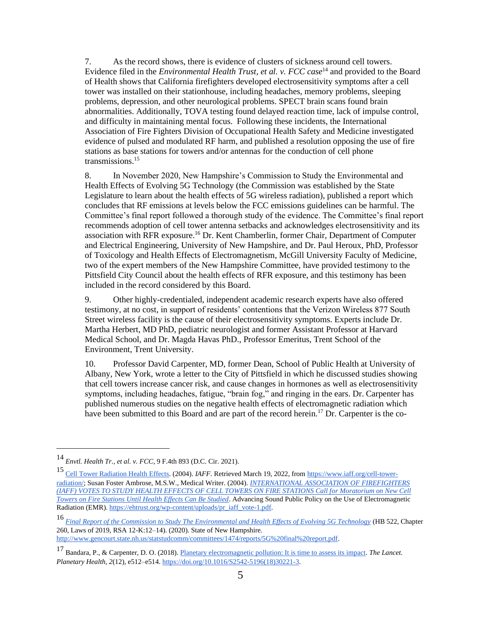7. As the record shows, there is evidence of clusters of sickness around cell towers. Evidence filed in the *Environmental Health Trust, et al. v. FCC case*<sup>14</sup> and provided to the Board of Health shows that California firefighters developed electrosensitivity symptoms after a cell tower was installed on their stationhouse, including headaches, memory problems, sleeping problems, depression, and other neurological problems. SPECT brain scans found brain abnormalities. Additionally, TOVA testing found delayed reaction time, lack of impulse control, and difficulty in maintaining mental focus. Following these incidents, the International Association of Fire Fighters Division of Occupational Health Safety and Medicine investigated evidence of pulsed and modulated RF harm, and published a resolution opposing the use of fire stations as base stations for towers and/or antennas for the conduction of cell phone transmissions.<sup>15</sup>

8. In November 2020, New Hampshire's Commission to Study the Environmental and Health Effects of Evolving 5G Technology (the Commission was established by the State Legislature to learn about the health effects of 5G wireless radiation), published a report which concludes that RF emissions at levels below the FCC emissions guidelines can be harmful. The Committee's final report followed a thorough study of the evidence. The Committee's final report recommends adoption of cell tower antenna setbacks and acknowledges electrosensitivity and its association with RFR exposure.<sup>16</sup> Dr. Kent Chamberlin, former Chair, Department of Computer and Electrical Engineering, University of New Hampshire, and Dr. Paul Heroux, PhD, Professor of Toxicology and Health Effects of Electromagnetism, McGill University Faculty of Medicine, two of the expert members of the New Hampshire Committee, have provided testimony to the Pittsfield City Council about the health effects of RFR exposure, and this testimony has been included in the record considered by this Board.

9. Other highly-credentialed, independent academic research experts have also offered testimony, at no cost, in support of residents' contentions that the Verizon Wireless 877 South Street wireless facility is the cause of their electrosensitivity symptoms. Experts include Dr. Martha Herbert, MD PhD, pediatric neurologist and former Assistant Professor at Harvard Medical School, and Dr. Magda Havas PhD., Professor Emeritus, Trent School of the Environment, Trent University.

10. Professor David Carpenter, MD, former Dean, School of Public Health at University of Albany, New York, wrote a letter to the City of Pittsfield in which he discussed studies showing that cell towers increase cancer risk, and cause changes in hormones as well as electrosensitivity symptoms, including headaches, fatigue, "brain fog," and ringing in the ears. Dr. Carpenter has published numerous studies on the negative health effects of electromagnetic radiation which have been submitted to this Board and are part of the record herein.<sup>17</sup> Dr. Carpenter is the co-

<sup>14</sup> *Envtl. Health Tr., et al. v. FCC*, 9 F.4th 893 (D.C. Cir. 2021).

<sup>15</sup> [Cell Tower Radiation Health Effects.](https://www.iaff.org/cell-tower-radiation/) (2004). *IAFF*. Retrieved March 19, 2022, fro[m](https://www.iaff.org/cell-tower-radiation/) [https://www.iaff.org/cell-tower](https://www.iaff.org/cell-tower-radiation/)[radiation/;](https://www.iaff.org/cell-tower-radiation/) Susan Foster Ambrose, M.S.W., Medical Writer. (2004). *[INTERNATIONAL ASSOCIATION OF FIREFIGHTERS](https://ehtrust.org/wp-content/uploads/pr_iaff_vote-1.pdf)  [\(IAFF\) VOTES TO STUDY HEALTH EFFECTS OF CELL TOWERS ON FIRE STATIONS Call for Moratorium on New Cell](https://ehtrust.org/wp-content/uploads/pr_iaff_vote-1.pdf)  [Towers on Fire Stations Until Health Effects Can Be Studied](https://ehtrust.org/wp-content/uploads/pr_iaff_vote-1.pdf)*. Advancing Sound Public Policy on the Use of Electromagnetic Radiation (EMR)[.](https://ehtrust.org/wp-content/uploads/pr_iaff_vote-1.pdf) [https://ehtrust.org/wp-content/uploads/pr\\_iaff\\_vote-1.pdf.](https://ehtrust.org/wp-content/uploads/pr_iaff_vote-1.pdf)

<sup>16</sup> *[Final Report of the Commission to Study The Environmental and Health Effects of Evolving 5G Technology](http://www.gencourt.state.nh.us/statstudcomm/committees/1474/reports/5G%20final%20report.pdf)* (HB 522, Chapter 260, Laws of 2019, RSA 12-K:12–14). (2020). State of New Hampshire[.](http://www.gencourt.state.nh.us/statstudcomm/committees/1474/reports/5G%20final%20report.pdf) [http://www.gencourt.state.nh.us/statstudcomm/committees/1474/reports/5G%20final%20report.pdf.](http://www.gencourt.state.nh.us/statstudcomm/committees/1474/reports/5G%20final%20report.pdf)

<sup>17</sup> Bandara, P., & Carpenter, D. O. (2018)[. Planetary electromagnetic pollution: It is time to assess its impact.](https://doi.org/10.1016/S2542-5196(18)30221-3) *The Lancet. Planetary Health*, *2*(12), e512–e51[4.](https://doi.org/10.1016/S2542-5196(18)30221-3) [https://doi.org/10.1016/S2542-5196\(18\)30221-3.](https://doi.org/10.1016/S2542-5196(18)30221-3)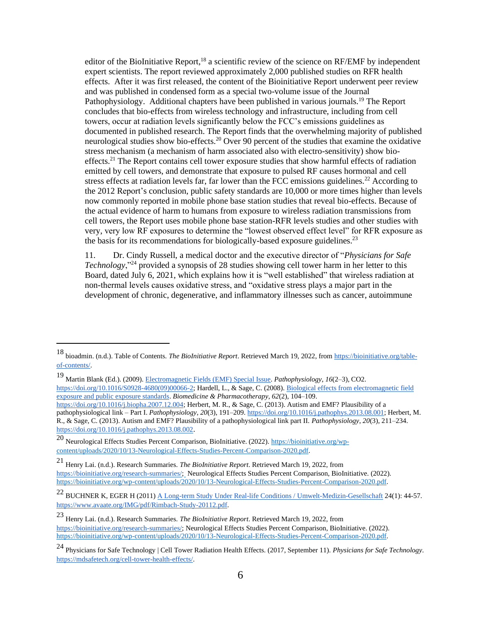editor of the BioInitiative Report,<sup>18</sup> a scientific review of the science on RF/EMF by independent expert scientists. The report reviewed approximately 2,000 published studies on RFR health effects. After it was first released, the content of the Bioinitiative Report underwent peer review and was published in condensed form as a special two-volume issue of the Journal Pathophysiology. Additional chapters have been published in various journals.<sup>19</sup> The Report concludes that bio-effects from wireless technology and infrastructure, including from cell towers, occur at radiation levels significantly below the FCC's emissions guidelines as documented in published research. The Report finds that the overwhelming majority of published neurological studies show bio-effects.<sup>20</sup> Over 90 percent of the studies that examine the oxidative stress mechanism (a mechanism of harm associated also with electro-sensitivity) show bioeffects.<sup>21</sup> The Report contains cell tower exposure studies that show harmful effects of radiation emitted by cell towers, and demonstrate that exposure to pulsed RF causes hormonal and cell stress effects at radiation levels far, far lower than the FCC emissions guidelines.<sup>22</sup> According to the 2012 Report's conclusion, public safety standards are 10,000 or more times higher than levels now commonly reported in mobile phone base station studies that reveal bio-effects. Because of the actual evidence of harm to humans from exposure to wireless radiation transmissions from cell towers, the Report uses mobile phone base station-RFR levels studies and other studies with very, very low RF exposures to determine the "lowest observed effect level" for RFR exposure as the basis for its recommendations for biologically-based exposure guidelines.<sup>23</sup>

11. Dr. Cindy Russell, a medical doctor and the executive director of "*Physicians for Safe Technology*,"<sup>24</sup> provided a synopsis of 28 studies showing cell tower harm in her letter to this Board, dated July 6, 2021, which explains how it is "well established" that wireless radiation at non-thermal levels causes oxidative stress, and "oxidative stress plays a major part in the development of chronic, degenerative, and inflammatory illnesses such as cancer, autoimmune

<sup>19</sup> Martin Blank (Ed.). (2009). [Electromagnetic Fields \(EMF\) Special Issue.](https://doi.org/10.1016/S0928-4680(09)00066-2) *Pathophysiology*, *16*(2–3), CO[2.](https://doi.org/10.1016/S0928-4680(09)00066-2) [https://doi.org/10.1016/S0928-4680\(09\)00066-2;](https://doi.org/10.1016/S0928-4680(09)00066-2) Hardell, L., & Sage, C. (2008)[. Biological effects from electromagnetic field](https://doi.org/10.1016/j.biopha.2007.12.004)  [exposure and public exposure standards.](https://doi.org/10.1016/j.biopha.2007.12.004) *Biomedicine & Pharmacotherapy*, *62*(2), 104–10[9.](https://doi.org/10.1016/j.biopha.2007.12.004) [https://doi.org/10.1016/j.biopha.2007.12.004;](https://doi.org/10.1016/j.biopha.2007.12.004) Herbert, M. R., & Sage, C. (2013). Autism and EMF? Plausibility of a

pathophysiological link – Part I. *Pathophysiology*, *20*(3), 191–20[9.](https://doi.org/10.1016/j.pathophys.2013.08.001) [https://doi.org/10.1016/j.pathophys.2013.08.001;](https://doi.org/10.1016/j.pathophys.2013.08.001) Herbert, M. R., & Sage, C. (2013). Autism and EMF? Plausibility of a pathophysiological link part II. *Pathophysiology*, *20*(3), 211–23[4.](https://doi.org/10.1016/j.pathophys.2013.08.002) <https://doi.org/10.1016/j.pathophys.2013.08.002>.

<sup>18</sup> bioadmin. (n.d.). Table of Contents. *The BioInitiative Report*. Retrieved March 19, 2022, fro[m](https://bioinitiative.org/table-of-contents/) [https://bioinitiative.org/table](https://bioinitiative.org/table-of-contents/)[of-contents/.](https://bioinitiative.org/table-of-contents/)

<sup>20</sup> Neurological Effects Studies Percent Comparison, BioInitiative. (2022). [https://bioinitiative.org/wp](https://bioinitiative.org/wp-content/uploads/2020/10/13-Neurological-Effects-Studies-Percent-Comparison-2020.pdf)[content/uploads/2020/10/13-Neurological-Effects-Studies-Percent-Comparison-2020.pdf.](https://bioinitiative.org/wp-content/uploads/2020/10/13-Neurological-Effects-Studies-Percent-Comparison-2020.pdf)

<sup>21</sup> Henry Lai. (n.d.). Research Summaries. *The BioInitiative Report*. Retrieved March 19, 2022, fro[m](https://bioinitiative.org/research-summaries/) [https://bioinitiative.org/research-summaries/;](https://bioinitiative.org/research-summaries/) Neurological Effects Studies Percent Comparison, BioInitiative. (2022). [https://bioinitiative.org/wp-content/uploads/2020/10/13-Neurological-Effects-Studies-Percent-Comparison-2020.pdf.](https://bioinitiative.org/wp-content/uploads/2020/10/13-Neurological-Effects-Studies-Percent-Comparison-2020.pdf)

<sup>22</sup> BUCHNER K, EGER H (2011[\) A Long-term Study Under Real-life Conditions / Umwelt-Medizin-Gesellschaft](https://www.avaate.org/IMG/pdf/Rimbach-Study-20112.pdf) 24(1): 44-57. [https://www.avaate.org/IMG/pdf/Rimbach-Study-20112.pdf.](https://www.avaate.org/IMG/pdf/Rimbach-Study-20112.pdf)

<sup>23</sup> Henry Lai. (n.d.). Research Summaries. *The BioInitiative Report*. Retrieved March 19, 2022, fro[m](https://bioinitiative.org/research-summaries/) [https://bioinitiative.org/research-summaries/;](https://bioinitiative.org/research-summaries/) Neurological Effects Studies Percent Comparison, BioInitiative. (2022). [https://bioinitiative.org/wp-content/uploads/2020/10/13-Neurological-Effects-Studies-Percent-Comparison-2020.pdf.](https://bioinitiative.org/wp-content/uploads/2020/10/13-Neurological-Effects-Studies-Percent-Comparison-2020.pdf)

<sup>24</sup> Physicians for Safe Technology | Cell Tower Radiation Health Effects. (2017, September 11). *Physicians for Safe Technology*[.](https://mdsafetech.org/cell-tower-health-effects/) [https://mdsafetech.org/cell-tower-health-effects/.](https://mdsafetech.org/cell-tower-health-effects/)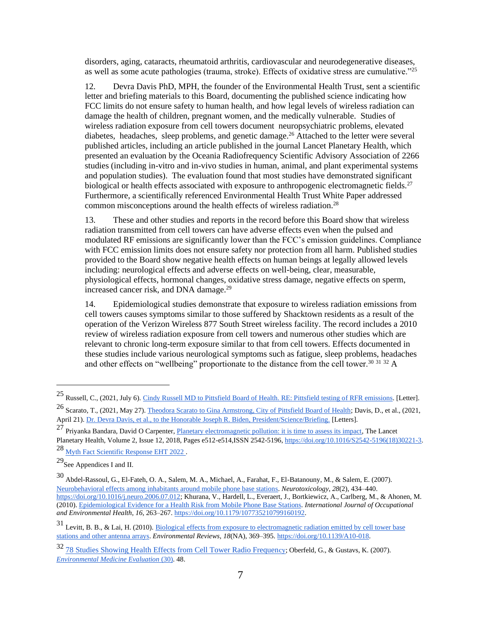disorders, aging, cataracts, rheumatoid arthritis, cardiovascular and neurodegenerative diseases, as well as some acute pathologies (trauma, stroke). Effects of oxidative stress are cumulative."<sup>25</sup>

12. Devra Davis PhD, MPH, the founder of the Environmental Health Trust, sent a scientific letter and briefing materials to this Board, documenting the published science indicating how FCC limits do not ensure safety to human health, and how legal levels of wireless radiation can damage the health of children, pregnant women, and the medically vulnerable. Studies of wireless radiation exposure from cell towers document neuropsychiatric problems, elevated diabetes, headaches, sleep problems, and genetic damage.<sup>26</sup> Attached to the letter were several published articles, including an article published in the journal Lancet Planetary Health, which presented an evaluation by the [Oceania Radiofrequency Scientific Advisory Association](http://www.orsaa.org/) of 2266 studies (including in-vitro and in-vivo studies in human, animal, and plant experimental systems and population studies). The evaluation found that most studies have demonstrated significant biological or health effects associated with exposure to anthropogenic electromagnetic fields.<sup>27</sup> Furthermore, a scientifically referenced Environmental Health Trust White Paper addressed common misconceptions around the health effects of wireless radiation.<sup>28</sup>

13. These and other studies and reports in the record before this Board show that wireless radiation transmitted from cell towers can have adverse effects even when the pulsed and modulated RF emissions are significantly lower than the FCC's emission guidelines. Compliance with FCC emission limits does not ensure safety nor protection from all harm. Published studies provided to the Board show negative health effects on human beings at legally allowed levels including: neurological effects and adverse effects on well-being, clear, measurable, physiological effects, hormonal changes, oxidative stress damage, negative effects on sperm, increased cancer risk, and DNA damage.<sup>29</sup>

14. Epidemiological studies demonstrate that exposure to wireless radiation emissions from cell towers causes symptoms similar to those suffered by Shacktown residents as a result of the operation of the Verizon Wireless 877 South Street wireless facility. The record includes a 2010 review of wireless radiation exposure from cell towers and numerous other studies which are relevant to chronic long-term exposure similar to that from cell towers. Effects documented in these studies include various neurological symptoms such as fatigue, sleep problems, headaches and other effects on "wellbeing" proportionate to the distance from the cell tower.<sup>30 31 32</sup> A

<sup>28</sup> [Myth Fact Scientific Response EHT 2022 .](https://ehtrust.org/myth-fact-5g-final-eht-2022-9/)

<sup>25</sup> Russell, C., (2021, July 6). [Cindy Russell MD to Pittsfield Board of Health. RE: Pittsfield testing of RFR emissions.](https://ehtrust.org/wp-content/uploads/Dr.-Cindy-Russel-to-City-of-Pittsfield-Board-of-Health-on-Cell-Tower-Radiation-July-6-2021-.pdf) [Letter].

<sup>26</sup> Scarato, T., (2021, May 27)[. Theodora Scarato to Gina Armstrong, City of Pittsfield Board of Health;](https://ehtrust.org/eht-to-pittsfield-may-2021/) Davis, D., et al., (2021, April 21)[. Dr. Devra Davis, et al., to the Honorable Joseph R. Biden, President/Science/Briefing.](https://ehtrust.org/wp-content/uploads/EHT-to-Pittsfield-May-2021.pdf) [Letters].

 $27$  Priyanka Bandara, David O Carpenter, [Planetary electromagnetic pollution: it is time to assess its impact,](https://www.sciencedirect.com/science/article/pii/S2542519618302213?via%3Dihub) The Lancet Planetary Health, Volume 2, Issue 12, 2018, Pages e512-e514,ISSN 2542-5196[, https://doi.org/10.1016/S2542-5196\(18\)30221-3.](https://doi.org/10.1016/S2542-5196(18)30221-3)

 $^{29}\!\mathrm{See}$  Appendices I and II.

<sup>30</sup> Abdel-Rassoul, G., El-Fateh, O. A., Salem, M. A., Michael, A., Farahat, F., El-Batanouny, M., & Salem, E. (2007). [Neurobehavioral effects among inhabitants around mobile phone base stations.](https://doi.org/10.1016/j.neuro.2006.07.012) *Neurotoxicology*, *28*(2), 434–44[0.](https://doi.org/10.1016/j.neuro.2006.07.012) [https://doi.org/10.1016/j.neuro.2006.07.012;](https://doi.org/10.1016/j.neuro.2006.07.012) Khurana, V., Hardell, L., Everaert, J., Bortkiewicz, A., Carlberg, M., & Ahonen, M. (2010)[. Epidemiological Evidence for a Health Risk from Mobile Phone Base Stations.](https://www.researchgate.net/publication/45387389_Epidemiological_Evidence_for_a_Health_Risk_from_Mobile_Phone_Base_Stations) *International Journal of Occupational and Environmental Health*, *16*, 263–26[7.](https://doi.org/10.1179/107735210799160192) [https://doi.org/10.1179/107735210799160192.](https://doi.org/10.1179/107735210799160192)

<sup>31</sup> Levitt, B. B., & Lai, H. (2010)[. Biological effects from exposure to electromagnetic radiation emitted by cell tower base](https://doi.org/10.1139/A10-018)  [stations and other antenna arrays.](https://doi.org/10.1139/A10-018) *Environmental Reviews*, *18*(NA), 369–39[5.](https://doi.org/10.1139/A10-018) [https://doi.org/10.1139/A10-018.](https://doi.org/10.1139/A10-018)

<sup>32</sup> [78 Studies Showing Health Effects from Cell Tower Radio Frequen](https://health.maryland.gov/phpa/OEHFP/EH/Shared%20Documents/CEHPAC/CEHPAC%20Dec%2013%20Comments%20Part%203.pdf)[cy;](https://health.maryland.gov/phpa/OEHFP/EH/Shared%20Documents/CEHPAC/CEHPAC%20Dec%2013%20Comments%20Part%203.pdf) Oberfeld, G., & Gustavs, K. (2007). *[Environmental Medicine Evaluation](https://wearetheevidence.org/wp-content/uploads/2022/02/Oberfeld.pdf#page=30)* [\(30\).](https://wearetheevidence.org/wp-content/uploads/2022/02/Oberfeld.pdf#page=30) 48.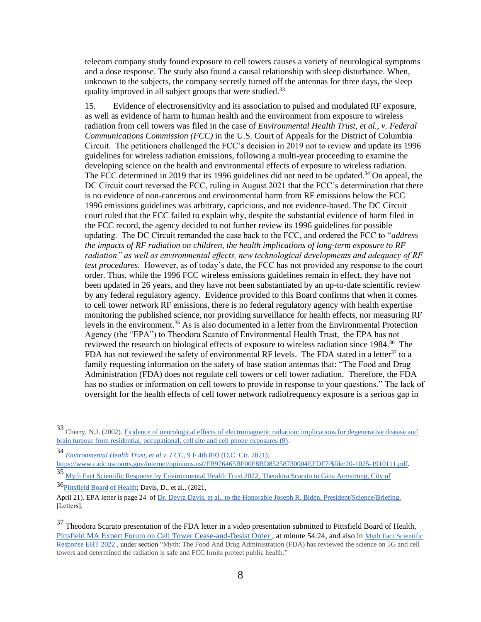telecom company study found exposure to cell towers causes a variety of neurological symptoms and a dose response. The study also found a causal relationship with sleep disturbance. When, unknown to the subjects, the company secretly turned off the antennas for three days, the sleep quality improved in all subject groups that were studied.<sup>33</sup>

15. Evidence of electrosensitivity and its association to pulsed and modulated RF exposure, as well as evidence of harm to human health and the environment from exposure to wireless radiation from cell towers was filed in the case of *Environmental Health Trust, et al., v. Federal Communications Commission (FCC)* in the U.S. Court of Appeals for the District of Columbia Circuit. The petitioners challenged the FCC's decision in 2019 not to review and update its 1996 guidelines for wireless radiation emissions, following a multi-year proceeding to examine the developing science on the health and environmental effects of exposure to wireless radiation. The FCC determined in 2019 that its 1996 guidelines did not need to be updated.<sup>34</sup> On appeal, the DC Circuit court reversed the FCC, ruling in August 2021 that the FCC's determination that there is no evidence of non-cancerous and environmental harm from RF emissions below the FCC 1996 emissions guidelines was arbitrary, capricious, and not evidence-based. The DC Circuit court ruled that the FCC failed to explain why, despite the substantial evidence of harm filed in the FCC record, the agency decided to not further review its 1996 guidelines for possible updating. The DC Circuit remanded the case back to the FCC, and ordered the FCC to "*address the impacts of RF radiation on children, the health implications of long-term exposure to RF radiation" as well as environmental effects, new technological developments and adequacy of RF test procedures.* However, as of today's date, the FCC has not provided any response to the court order. Thus, while the 1996 FCC wireless emissions guidelines remain in effect, they have not been updated in 26 years, and they have not been substantiated by an up-to-date scientific review by any federal regulatory agency. Evidence provided to this Board confirms that when it comes to cell tower network RF emissions, there is no federal regulatory agency with health expertise monitoring the published science, nor providing surveillance for health effects, nor measuring RF levels in the environment.<sup>35</sup> As is also documented in a letter from the Environmental Protection Agency (the "EPA") to Theodora Scarato of Environmental Health Trust, the EPA has not reviewed the research on biological effects of exposure to wireless radiation since 1984.<sup>36</sup> The FDA has not reviewed the safety of environmental RF levels. The FDA stated in a letter<sup>37</sup> to a family requesting information on the safety of base station antennas that: "The Food and Drug Administration (FDA) does not regulate cell towers or cell tower radiation. Therefore, the FDA has no studies or information on cell towers to provide in response to your questions." The lack of oversight for the health effects of cell tower network radiofrequency exposure is a serious gap in

<sup>33</sup> Cherry, N.J. (2002). [Evidence of neurological effects of electromagnetic radiation: implications for degenerative disease and](https://ecfsapi.fcc.gov/file/109282575321088/25-Attachment%2025-%20Dr%20Neil%20Cherry-Cell%20Sites-EMR%20%26%20Disease-2002.pdf#page=9)  brain tumour [from residential, occupational, cell site and cell phone exposures \(9\).](https://ecfsapi.fcc.gov/file/109282575321088/25-Attachment%2025-%20Dr%20Neil%20Cherry-Cell%20Sites-EMR%20%26%20Disease-2002.pdf#page=9)

<sup>34</sup> *[Environmental Health Trust, et al v. FCC](https://www.cadc.uscourts.gov/internet/opinions.nsf/FB976465BF00F8BD85258730004EFDF7/$file/20-1025-1910111.pdf)*[, 9 F.4th 893 \(D.C. Cir. 2021\).](https://www.cadc.uscourts.gov/internet/opinions.nsf/FB976465BF00F8BD85258730004EFDF7/$file/20-1025-1910111.pdf)

[https://www.cadc.uscourts.gov/internet/opinions.nsf/FB976465BF00F8BD85258730004EFDF7/\\$file/20-1025-1910111.pdf.](https://www.cadc.uscourts.gov/internet/opinions.nsf/FB976465BF00F8BD85258730004EFDF7/$file/20-1025-1910111.pdf)

<sup>35</sup> [Myth Fact Scientific Response by Environmental Health Trust 2022](https://ehtrust.org/myth-fact-5g-final-eht-2022-9/), [Theodora Scarato to Gina Armstrong, City of](https://ehtrust.org/myth-fact-5g-final-eht-2022-9/) 

<sup>36</sup> Pittsfield Board of Health; Davis, D., et al., (2021,

April 21). EPA letter is page 24 o[f Dr. Devra Davis, et al., to the Honorable Joseph R. Biden, President/Science/Briefing.](https://ehtrust.org/wp-content/uploads/EHT-to-Pittsfield-May-2021.pdf) [Letters].

<sup>&</sup>lt;sup>37</sup> Theodora Scarato presentation of the FDA letter in a video presentation submitted to Pittsfield Board of Health, Pittsfield MA Expert Forum on Cell Tower Cease-and-Desist Order, at minute 54:24, and also in Myth Fact Scientific [Response EHT 2022 ,](https://ehtrust.org/myth-fact-5g-final-eht-2022-9/) under section "Myth: The Food And Drug Administration (FDA) has reviewed the science on 5G and cell towers and determined the radiation is safe and FCC limits protect public health."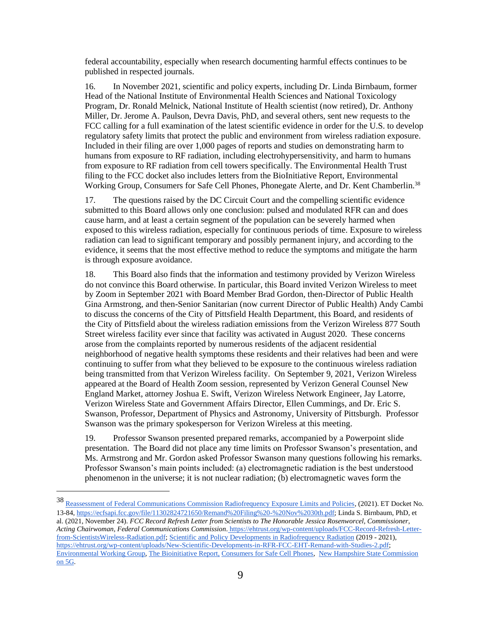federal accountability, especially when research documenting harmful effects continues to be published in respected journals.

16. In November 2021, scientific and policy experts, including Dr. Linda Birnbaum, former Head of the National Institute of Environmental Health Sciences and National Toxicology Program, Dr. Ronald Melnick, National Institute of Health scientist (now retired), Dr. Anthony Miller, Dr. Jerome A. Paulson, Devra Davis, PhD, and several others, sent new requests to the FCC calling for a full examination of the latest scientific evidence in order for the U.S. to develop regulatory safety limits that protect the public and environment from wireless radiation exposure. Included in their filing are over 1,000 pages of reports and studies on demonstrating harm to humans from exposure to RF radiation, including electrohypersensitivity, and harm to humans from exposure to RF radiation from cell towers specifically. The Environmental Health Trust filing to the FCC docket also includes letters from the BioInitiative Report, Environmental Working Group, Consumers for Safe Cell Phones, Phonegate Alerte, and Dr. Kent Chamberlin.<sup>38</sup>

17. The questions raised by the DC Circuit Court and the compelling scientific evidence submitted to this Board allows only one conclusion: pulsed and modulated RFR can and does cause harm, and at least a certain segment of the population can be severely harmed when exposed to this wireless radiation, especially for continuous periods of time. Exposure to wireless radiation can lead to significant temporary and possibly permanent injury, and according to the evidence, it seems that the most effective method to reduce the symptoms and mitigate the harm is through exposure avoidance.

18. This Board also finds that the information and testimony provided by Verizon Wireless do not convince this Board otherwise. In particular, this Board invited Verizon Wireless to meet by Zoom in September 2021 with Board Member Brad Gordon, then-Director of Public Health Gina Armstrong, and then-Senior Sanitarian (now current Director of Public Health) Andy Cambi to discuss the concerns of the City of Pittsfield Health Department, this Board, and residents of the City of Pittsfield about the wireless radiation emissions from the Verizon Wireless 877 South Street wireless facility ever since that facility was activated in August 2020. These concerns arose from the complaints reported by numerous residents of the adjacent residential neighborhood of negative health symptoms these residents and their relatives had been and were continuing to suffer from what they believed to be exposure to the continuous wireless radiation being transmitted from that Verizon Wireless facility. On September 9, 2021, Verizon Wireless appeared at the Board of Health Zoom session, represented by Verizon General Counsel New England Market, attorney Joshua E. Swift, Verizon Wireless Network Engineer, Jay Latorre, Verizon Wireless State and Government Affairs Director, Ellen Cummings, and Dr. Eric S. Swanson, Professor, Department of Physics and Astronomy, University of Pittsburgh. Professor Swanson was the primary spokesperson for Verizon Wireless at this meeting.

19. Professor Swanson presented prepared remarks, accompanied by a Powerpoint slide presentation. The Board did not place any time limits on Professor Swanson's presentation, and Ms. Armstrong and Mr. Gordon asked Professor Swanson many questions following his remarks. Professor Swanson's main points included: (a) electromagnetic radiation is the best understood phenomenon in the universe; it is not nuclear radiation; (b) electromagnetic waves form the

<sup>38</sup> [Reassessment of Federal Communications Commission Radiofrequency Exposure Limits and Policies,](https://ecfsapi.fcc.gov/file/11302824721650/Remand%20Filing%20-%20Nov%2030th.pdf) (2021). ET Docket No. 13-84, [https://ecfsapi.fcc.gov/file/11302824721650/Remand%20Filing%20-%20Nov%2030th.pdf;](https://ecfsapi.fcc.gov/file/11302824721650/Remand%20Filing%20-%20Nov%2030th.pdf) Linda S. Birnbaum, PhD, et al. (2021, November 24). *FCC Record Refresh Letter from Scientists to The Honorable Jessica Rosenworcel, Commissioner, Acting Chairwoman, Federal Communications Commission*. [https://ehtrust.org/wp-content/uploads/FCC-Record-Refresh-Letter](https://ehtrust.org/wp-content/uploads/FCC-Record-Refresh-Letter-from-ScientistsWireless-Radiation.pdf)[from-ScientistsWireless-Radiation.pdf;](https://ehtrust.org/wp-content/uploads/FCC-Record-Refresh-Letter-from-ScientistsWireless-Radiation.pdf) [Scientific and Policy Developments in Radiofrequency Radiation](https://ehtrust.org/wp-content/uploads/New-Scientific-Developments-in-RFR-FCC-EHT-Remand-with-Studies-2.pdf) (2019 - 2021), [https://ehtrust.org/wp-content/uploads/New-Scientific-Developments-in-RFR-FCC-EHT-Remand-with-Studies-2.pdf;](https://ehtrust.org/wp-content/uploads/New-Scientific-Developments-in-RFR-FCC-EHT-Remand-with-Studies-2.pdf) [Environmental Working Group,](https://ehtrust.org/wp-content/uploads/EWG-letter-to-the-FCC_Nov19_2021.pdf) [The Bioinitiative Report,](https://ehtrust.org/wp-content/uploads/BIWG-to-FCC-Request-For-Remand-.pdf) [Consumers for Safe Cell Phones,](https://ehtrust.org/wp-content/uploads/CSCP-submission-to-FCC-Cindy-Franklin-.docx.pdf) [New Hampshire State Commission](https://ehtrust.org/wp-content/uploads/Kent-Chamberlin-FCC-Letter-2-Nov-2021-1.pdf)  [on 5G.](https://ehtrust.org/wp-content/uploads/Kent-Chamberlin-FCC-Letter-2-Nov-2021-1.pdf)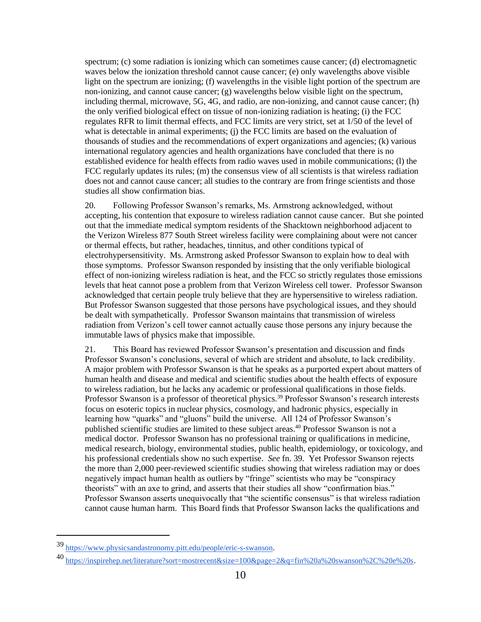spectrum; (c) some radiation is ionizing which can sometimes cause cancer; (d) electromagnetic waves below the ionization threshold cannot cause cancer; (e) only wavelengths above visible light on the spectrum are ionizing; (f) wavelengths in the visible light portion of the spectrum are non-ionizing, and cannot cause cancer; (g) wavelengths below visible light on the spectrum, including thermal, microwave, 5G, 4G, and radio, are non-ionizing, and cannot cause cancer; (h) the only verified biological effect on tissue of non-ionizing radiation is heating; (i) the FCC regulates RFR to limit thermal effects, and FCC limits are very strict, set at 1/50 of the level of what is detectable in animal experiments; (j) the FCC limits are based on the evaluation of thousands of studies and the recommendations of expert organizations and agencies; (k) various international regulatory agencies and health organizations have concluded that there is no established evidence for health effects from radio waves used in mobile communications; (l) the FCC regularly updates its rules; (m) the consensus view of all scientists is that wireless radiation does not and cannot cause cancer; all studies to the contrary are from fringe scientists and those studies all show confirmation bias.

20. Following Professor Swanson's remarks, Ms. Armstrong acknowledged, without accepting, his contention that exposure to wireless radiation cannot cause cancer. But she pointed out that the immediate medical symptom residents of the Shacktown neighborhood adjacent to the Verizon Wireless 877 South Street wireless facility were complaining about were not cancer or thermal effects, but rather, headaches, tinnitus, and other conditions typical of electrohypersensitivity. Ms. Armstrong asked Professor Swanson to explain how to deal with those symptoms. Professor Swanson responded by insisting that the only verifiable biological effect of non-ionizing wireless radiation is heat, and the FCC so strictly regulates those emissions levels that heat cannot pose a problem from that Verizon Wireless cell tower. Professor Swanson acknowledged that certain people truly believe that they are hypersensitive to wireless radiation. But Professor Swanson suggested that those persons have psychological issues, and they should be dealt with sympathetically. Professor Swanson maintains that transmission of wireless radiation from Verizon's cell tower cannot actually cause those persons any injury because the immutable laws of physics make that impossible.

21. This Board has reviewed Professor Swanson's presentation and discussion and finds Professor Swanson's conclusions, several of which are strident and absolute, to lack credibility. A major problem with Professor Swanson is that he speaks as a purported expert about matters of human health and disease and medical and scientific studies about the health effects of exposure to wireless radiation, but he lacks any academic or professional qualifications in those fields. Professor Swanson is a professor of theoretical physics.<sup>39</sup> Professor Swanson's research interests focus on esoteric topics in nuclear physics, cosmology, and hadronic physics, especially in learning how "quarks" and "gluons" build the universe. All 124 of Professor Swanson's published scientific studies are limited to these subject areas.<sup>40</sup> Professor Swanson is not a medical doctor. Professor Swanson has no professional training or qualifications in medicine, medical research, biology, environmental studies, public health, epidemiology, or toxicology, and his professional credentials show no such expertise. *See* fn. 39. Yet Professor Swanson rejects the more than 2,000 peer-reviewed scientific studies showing that wireless radiation may or does negatively impact human health as outliers by "fringe" scientists who may be "conspiracy theorists" with an axe to grind, and asserts that their studies all show "confirmation bias." Professor Swanson asserts unequivocally that "the scientific consensus" is that wireless radiation cannot cause human harm. This Board finds that Professor Swanson lacks the qualifications and

<sup>39</sup> [https://www.physicsandastronomy.pitt.edu/people/eric-s-swanson.](https://www.physicsandastronomy.pitt.edu/people/eric-s-swanson)

<sup>40</sup> [https://inspirehep.net/literature?sort=mostrecent&size=100&page=2&q=fin%20a%20swanson%2C%20e%20s.](https://inspirehep.net/literature?sort=mostrecent&size=100&page=2&q=fin%20a%20swanson%2C%20e%20s)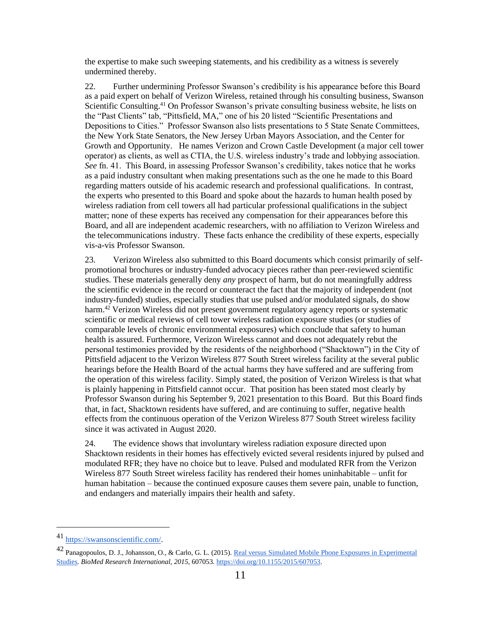the expertise to make such sweeping statements, and his credibility as a witness is severely undermined thereby.

22. Further undermining Professor Swanson's credibility is his appearance before this Board as a paid expert on behalf of Verizon Wireless, retained through his consulting business, Swanson Scientific Consulting.<sup>41</sup> On Professor Swanson's private consulting business website, he lists on the "Past Clients" tab, "Pittsfield, MA," one of his 20 listed "Scientific Presentations and Depositions to Cities." Professor Swanson also lists presentations to 5 State Senate Committees, the New York State Senators, the New Jersey Urban Mayors Association, and the Center for Growth and Opportunity. He names Verizon and Crown Castle Development (a major cell tower operator) as clients, as well as CTIA, the U.S. wireless industry's trade and lobbying association. *See* fn. 41. This Board, in assessing Professor Swanson's credibility, takes notice that he works as a paid industry consultant when making presentations such as the one he made to this Board regarding matters outside of his academic research and professional qualifications. In contrast, the experts who presented to this Board and spoke about the hazards to human health posed by wireless radiation from cell towers all had particular professional qualifications in the subject matter; none of these experts has received any compensation for their appearances before this Board, and all are independent academic researchers, with no affiliation to Verizon Wireless and the telecommunications industry. These facts enhance the credibility of these experts, especially vis-a-vis Professor Swanson.

23. Verizon Wireless also submitted to this Board documents which consist primarily of selfpromotional brochures or industry-funded advocacy pieces rather than peer-reviewed scientific studies. These materials generally deny *any* prospect of harm, but do not meaningfully address the scientific evidence in the record or counteract the fact that the majority of independent (not industry-funded) studies, especially studies that use pulsed and/or modulated signals, do show harm.<sup>42</sup> Verizon Wireless did not present government regulatory agency reports or systematic scientific or medical reviews of cell tower wireless radiation exposure studies (or studies of comparable levels of chronic environmental exposures) which conclude that safety to human health is assured. Furthermore, Verizon Wireless cannot and does not adequately rebut the personal testimonies provided by the residents of the neighborhood ("Shacktown") in the City of Pittsfield adjacent to the Verizon Wireless 877 South Street wireless facility at the several public hearings before the Health Board of the actual harms they have suffered and are suffering from the operation of this wireless facility. Simply stated, the position of Verizon Wireless is that what is plainly happening in Pittsfield cannot occur. That position has been stated most clearly by Professor Swanson during his September 9, 2021 presentation to this Board. But this Board finds that, in fact, Shacktown residents have suffered, and are continuing to suffer, negative health effects from the continuous operation of the Verizon Wireless 877 South Street wireless facility since it was activated in August 2020.

24. The evidence shows that involuntary wireless radiation exposure directed upon Shacktown residents in their homes has effectively evicted several residents injured by pulsed and modulated RFR; they have no choice but to leave. Pulsed and modulated RFR from the Verizon Wireless 877 South Street wireless facility has rendered their homes uninhabitable – unfit for human habitation – because the continued exposure causes them severe pain, unable to function, and endangers and materially impairs their health and safety.

<sup>41</sup> [https://swansonscientific.com/.](https://swansonscientific.com/)

<sup>42</sup> Panagopoulos, D. J., Johansson, O., & Carlo, G. L. (2015)[. Real versus Simulated Mobile Phone Exposures in Experimental](https://pubmed.ncbi.nlm.nih.gov/26346766/)  [Studies.](https://pubmed.ncbi.nlm.nih.gov/26346766/) *BioMed Research International*, *2015*, 60705[3.](https://doi.org/10.1155/2015/607053) [https://doi.org/10.1155/2015/607053.](https://doi.org/10.1155/2015/607053)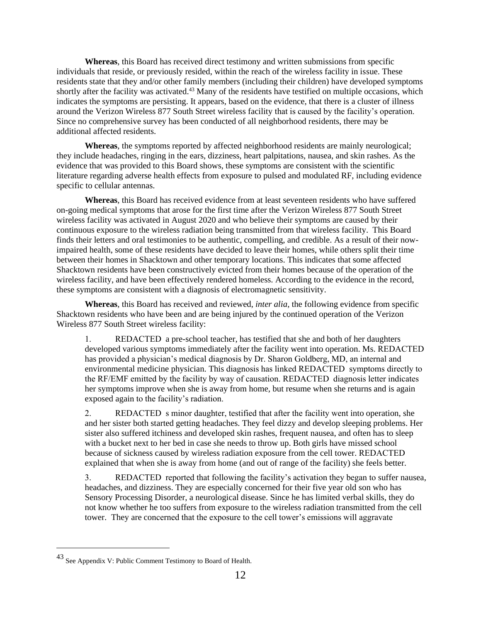**Whereas**, this Board has received direct testimony and written submissions from specific individuals that reside, or previously resided, within the reach of the wireless facility in issue. These residents state that they and/or other family members (including their children) have developed symptoms shortly after the facility was activated.<sup>43</sup> Many of the residents have testified on multiple occasions, which indicates the symptoms are persisting. It appears, based on the evidence, that there is a cluster of illness around the Verizon Wireless 877 South Street wireless facility that is caused by the facility's operation. Since no comprehensive survey has been conducted of all neighborhood residents, there may be additional affected residents.

**Whereas**, the symptoms reported by affected neighborhood residents are mainly neurological; they include headaches, ringing in the ears, dizziness, heart palpitations, nausea, and skin rashes. As the evidence that was provided to this Board shows, these symptoms are consistent with the scientific literature regarding adverse health effects from exposure to pulsed and modulated RF, including evidence specific to cellular antennas.

**Whereas**, this Board has received evidence from at least seventeen residents who have suffered on-going medical symptoms that arose for the first time after the Verizon Wireless 877 South Street wireless facility was activated in August 2020 and who believe their symptoms are caused by their continuous exposure to the wireless radiation being transmitted from that wireless facility. This Board finds their letters and oral testimonies to be authentic, compelling, and credible. As a result of their nowimpaired health, some of these residents have decided to leave their homes, while others split their time between their homes in Shacktown and other temporary locations. This indicates that some affected Shacktown residents have been constructively evicted from their homes because of the operation of the wireless facility, and have been effectively rendered homeless. According to the evidence in the record, these symptoms are consistent with a diagnosis of electromagnetic sensitivity.

**Whereas**, this Board has received and reviewed, *inter alia*, the following evidence from specific Shacktown residents who have been and are being injured by the continued operation of the Verizon Wireless 877 South Street wireless facility:

1. REDACTED a pre-school teacher, has testified that she and both of her daughters developed various symptoms immediately after the facility went into operation. Ms. REDACTED has provided a physician's medical diagnosis by Dr. Sharon Goldberg, MD, an internal and environmental medicine physician. This diagnosis has linked REDACTED symptoms directly to the RF/EMF emitted by the facility by way of causation. REDACTED diagnosis letter indicates her symptoms improve when she is away from home, but resume when she returns and is again exposed again to the facility's radiation.

2. REDACTED s minor daughter, testified that after the facility went into operation, she and her sister both started getting headaches. They feel dizzy and develop sleeping problems. Her sister also suffered itchiness and developed skin rashes, frequent nausea, and often has to sleep with a bucket next to her bed in case she needs to throw up. Both girls have missed school because of sickness caused by wireless radiation exposure from the cell tower. REDACTED explained that when she is away from home (and out of range of the facility) she feels better.

3. REDACTED reported that following the facility's activation they began to suffer nausea, headaches, and dizziness. They are especially concerned for their five year old son who has Sensory Processing Disorder, a neurological disease. Since he has limited verbal skills, they do not know whether he too suffers from exposure to the wireless radiation transmitted from the cell tower. They are concerned that the exposure to the cell tower's emissions will aggravate

<sup>43</sup> See Appendix V: Public Comment Testimony to Board of Health.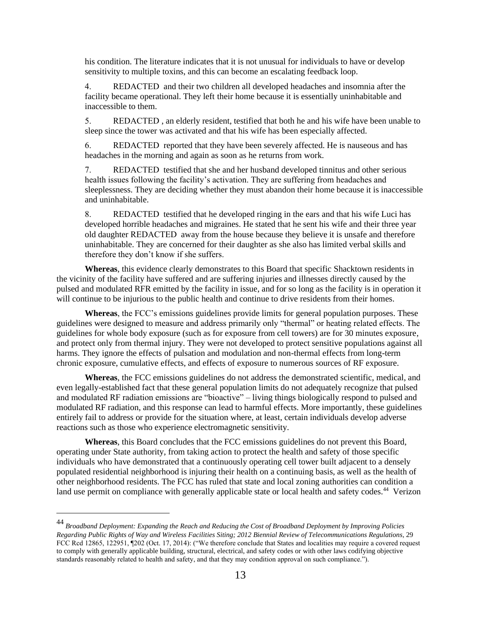his condition. The literature indicates that it is not unusual for individuals to have or develop sensitivity to multiple toxins, and this can become an escalating feedback loop.

4. REDACTED and their two children all developed headaches and insomnia after the facility became operational. They left their home because it is essentially uninhabitable and inaccessible to them.

5. REDACTED , an elderly resident, testified that both he and his wife have been unable to sleep since the tower was activated and that his wife has been especially affected.

6. REDACTED reported that they have been severely affected. He is nauseous and has headaches in the morning and again as soon as he returns from work.

7. REDACTED testified that she and her husband developed tinnitus and other serious health issues following the facility's activation. They are suffering from headaches and sleeplessness. They are deciding whether they must abandon their home because it is inaccessible and uninhabitable.

8. REDACTED testified that he developed ringing in the ears and that his wife Luci has developed horrible headaches and migraines. He stated that he sent his wife and their three year old daughter REDACTED away from the house because they believe it is unsafe and therefore uninhabitable. They are concerned for their daughter as she also has limited verbal skills and therefore they don't know if she suffers.

**Whereas**, this evidence clearly demonstrates to this Board that specific Shacktown residents in the vicinity of the facility have suffered and are suffering injuries and illnesses directly caused by the pulsed and modulated RFR emitted by the facility in issue, and for so long as the facility is in operation it will continue to be injurious to the public health and continue to drive residents from their homes.

**Whereas**, the FCC's emissions guidelines provide limits for general population purposes. These guidelines were designed to measure and address primarily only "thermal" or heating related effects. The guidelines for whole body exposure (such as for exposure from cell towers) are for 30 minutes exposure, and protect only from thermal injury. They were not developed to protect sensitive populations against all harms. They ignore the effects of pulsation and modulation and non-thermal effects from long-term chronic exposure, cumulative effects, and effects of exposure to numerous sources of RF exposure.

**Whereas**, the FCC emissions guidelines do not address the demonstrated scientific, medical, and even legally-established fact that these general population limits do not adequately recognize that pulsed and modulated RF radiation emissions are "bioactive" – living things biologically respond to pulsed and modulated RF radiation, and this response can lead to harmful effects. More importantly, these guidelines entirely fail to address or provide for the situation where, at least, certain individuals develop adverse reactions such as those who experience electromagnetic sensitivity.

**Whereas**, this Board concludes that the FCC emissions guidelines do not prevent this Board, operating under State authority, from taking action to protect the health and safety of those specific individuals who have demonstrated that a continuously operating cell tower built adjacent to a densely populated residential neighborhood is injuring their health on a continuing basis, as well as the health of other neighborhood residents. The FCC has ruled that state and local zoning authorities can condition a land use permit on compliance with generally applicable state or local health and safety codes.<sup>44</sup> Verizon

<sup>44</sup> *Broadband Deployment: Expanding the Reach and Reducing the Cost of Broadband Deployment by Improving Policies Regarding Public Rights of Way and Wireless Facilities Siting; 2012 Biennial Review of Telecommunications Regulations*, 29 FCC Rcd 12865, 122951, ¶202 (Oct. 17, 2014): ("We therefore conclude that States and localities may require a covered request to comply with generally applicable building, structural, electrical, and safety codes or with other laws codifying objective standards reasonably related to health and safety, and that they may condition approval on such compliance.").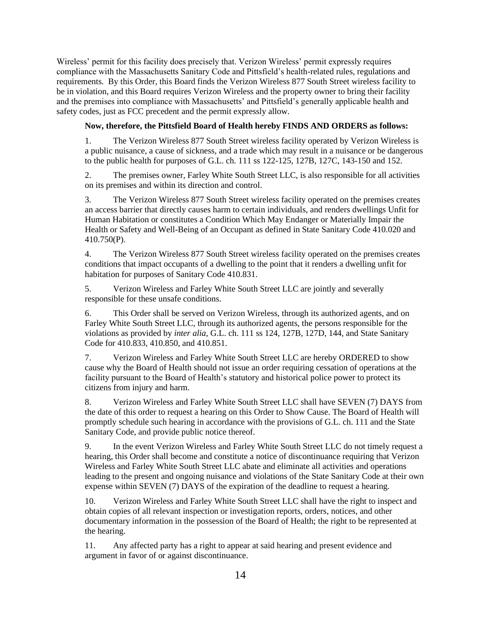Wireless' permit for this facility does precisely that. Verizon Wireless' permit expressly requires compliance with the Massachusetts Sanitary Code and Pittsfield's health-related rules, regulations and requirements. By this Order, this Board finds the Verizon Wireless 877 South Street wireless facility to be in violation, and this Board requires Verizon Wireless and the property owner to bring their facility and the premises into compliance with Massachusetts' and Pittsfield's generally applicable health and safety codes, just as FCC precedent and the permit expressly allow.

# **Now, therefore, the Pittsfield Board of Health hereby FINDS AND ORDERS as follows:**

1. The Verizon Wireless 877 South Street wireless facility operated by Verizon Wireless is a public nuisance, a cause of sickness, and a trade which may result in a nuisance or be dangerous to the public health for purposes of G.L. ch. 111 ss 122-125, 127B, 127C, 143-150 and 152.

2. The premises owner, Farley White South Street LLC, is also responsible for all activities on its premises and within its direction and control.

3. The Verizon Wireless 877 South Street wireless facility operated on the premises creates an access barrier that directly causes harm to certain individuals, and renders dwellings Unfit for Human Habitation or constitutes a Condition Which May Endanger or Materially Impair the Health or Safety and Well-Being of an Occupant as defined in State Sanitary Code 410.020 and 410.750(P).

4. The Verizon Wireless 877 South Street wireless facility operated on the premises creates conditions that impact occupants of a dwelling to the point that it renders a dwelling unfit for habitation for purposes of Sanitary Code 410.831.

5. Verizon Wireless and Farley White South Street LLC are jointly and severally responsible for these unsafe conditions.

6. This Order shall be served on Verizon Wireless, through its authorized agents, and on Farley White South Street LLC, through its authorized agents, the persons responsible for the violations as provided by *inter alia*, G.L. ch. 111 ss 124, 127B, 127D, 144, and State Sanitary Code for 410.833, 410.850, and 410.851.

7. Verizon Wireless and Farley White South Street LLC are hereby ORDERED to show cause why the Board of Health should not issue an order requiring cessation of operations at the facility pursuant to the Board of Health's statutory and historical police power to protect its citizens from injury and harm.

8. Verizon Wireless and Farley White South Street LLC shall have SEVEN (7) DAYS from the date of this order to request a hearing on this Order to Show Cause. The Board of Health will promptly schedule such hearing in accordance with the provisions of G.L. ch. 111 and the State Sanitary Code, and provide public notice thereof.

9. In the event Verizon Wireless and Farley White South Street LLC do not timely request a hearing, this Order shall become and constitute a notice of discontinuance requiring that Verizon Wireless and Farley White South Street LLC abate and eliminate all activities and operations leading to the present and ongoing nuisance and violations of the State Sanitary Code at their own expense within SEVEN (7) DAYS of the expiration of the deadline to request a hearing.

10. Verizon Wireless and Farley White South Street LLC shall have the right to inspect and obtain copies of all relevant inspection or investigation reports, orders, notices, and other documentary information in the possession of the Board of Health; the right to be represented at the hearing.

11. Any affected party has a right to appear at said hearing and present evidence and argument in favor of or against discontinuance.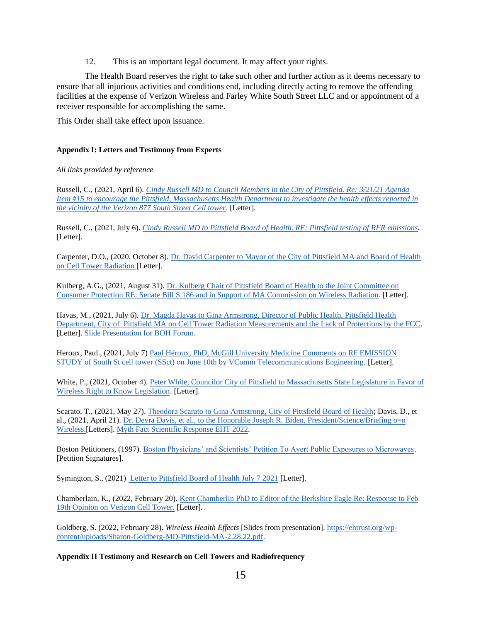12. This is an important legal document. It may affect your rights.

The Health Board reserves the right to take such other and further action as it deems necessary to ensure that all injurious activities and conditions end, including directly acting to remove the offending facilities at the expense of Verizon Wireless and Farley White South Street LLC and or appointment of a receiver responsible for accomplishing the same.

This Order shall take effect upon issuance.

# **Appendix I: Letters and Testimony from Experts**

# *All links provided by reference*

Russell, C., (2021, April 6). *[Cindy Russell MD to Council Members in the City of Pittsfield. Re: 3/21/21 Agenda](https://ehtrust.org/wp-content/uploads/Dr.-Cindy-Russell-to-City-of-Pittsfield-Public-Health-April-4-2021.pdf)  [Item #15 to encourage the Pittsfield, Massachusetts Health Department to investigate the health effects reported in](https://ehtrust.org/wp-content/uploads/Dr.-Cindy-Russell-to-City-of-Pittsfield-Public-Health-April-4-2021.pdf)  [the vicinity of the Verizon 877 South Street Cell tower](https://ehtrust.org/wp-content/uploads/Dr.-Cindy-Russell-to-City-of-Pittsfield-Public-Health-April-4-2021.pdf)*. [Letter][.](https://ehtrust.org/wp-content/uploads/Dr.-Cindy-Russell-to-City-of-Pittsfield-Public-Health-April-4-2021.pdf)

Russell, C., (2021, July 6). *[Cindy Russell MD to Pittsfield Board of Health. RE: Pittsfield testing of RFR emissions.](https://ehtrust.org/wp-content/uploads/Dr.-Cindy-Russel-to-City-of-Pittsfield-Board-of-Health-on-Cell-Tower-Radiation-July-6-2021-.pdf)*  [Letter].

Carpenter, D.O., (2020, October 8). [Dr. David Carpenter to Mayor of the City of Pittsfield MA and Board of Health](https://ehtrust.org/wp-content/uploads/David-Carpenter-to-Pittsfield.pdf)  [on Cell Tower Radiation \[](https://ehtrust.org/wp-content/uploads/David-Carpenter-to-Pittsfield.pdf)Letter].

Kulberg, A.G., (2021, August 31). [Dr. Kulberg Chair of Pittsfield Board of Health to the Joint Committee on](https://ehtrust.org/wp-content/uploads/Dr.-Kulberg-Board-of-Health-Letter-of-Support.pdf)  [Consumer Protection RE: Senate Bill S.186 and in Support of MA Commission on Wireless Radiation.](https://ehtrust.org/wp-content/uploads/Dr.-Kulberg-Board-of-Health-Letter-of-Support.pdf) [Letter].

Havas, M., (2021, July 6). [Dr. Magda Havas to Gina Armstrong, Director of Public Health, Pittsfield Health](https://ehtrust.org/wp-content/uploads/Havas-response-to-Pittsfiled-Board-of-Health-Vcomm-Report-July-2021.pdf)  [Department, City of Pittsfield MA on Cell Tower Radiation Measurements and the Lack of Protections by the FCC.](https://ehtrust.org/wp-content/uploads/Havas-response-to-Pittsfiled-Board-of-Health-Vcomm-Report-July-2021.pdf) [Letter][. Slide Presentation for BOH Forum.](https://ehtrust.org/wp-content/uploads/Havas-slides-Pittsflied-cell-tower-Feb-2022.pdf)

Heroux, Paul., (2021, July 7[\) Paul Héroux, PhD, McGill University Medicine Comments on RF EMISSION](https://ehtrust.org/wp-content/uploads/Paul-Heroux-PhD-Letter-on-RF-Limits-2021-07-01.pdf)  [STUDY of South St cell tower \(SSct\) on June 10th by VComm Telecommunications Engineering.](https://ehtrust.org/wp-content/uploads/Paul-Heroux-PhD-Letter-on-RF-Limits-2021-07-01.pdf) [Letter].

White, P., (2021, October 4). [Peter White, Councilor City of Pittsfield to Massachusetts State Legislature in Favor of](https://ehtrust.org/wp-content/uploads/Letter-From-Peter-White-Councilor-City-of-Pittsfield-to-Massachusetts-State-Legislature-in-Favor-of-Wireless-Right-to-Know-Legislation.pdf) [Wireless Right to Know Legislation.](https://ehtrust.org/wp-content/uploads/Letter-From-Peter-White-Councilor-City-of-Pittsfield-to-Massachusetts-State-Legislature-in-Favor-of-Wireless-Right-to-Know-Legislation.pdf) [Letter].

Scarato, T., (2021, May 27). [Theodora Scarato to Gina Armstrong, City of Pittsfield Board of Health;](https://ehtrust.org/eht-to-pittsfield-may-2021/) Davis, D., et al., (2021, April 21). [Dr. Devra Davis, et al., to the Honorable Joseph R. Biden, President/Science/Briefing o=n](https://ehtrust.org/wp-content/uploads/EHT-to-Pittsfield-May-2021.pdf) [Wireless.\[](https://ehtrust.org/wp-content/uploads/EHT-to-Pittsfield-May-2021.pdf)Letters]. [Myth Fact Scientific Response EHT 2022.](https://ehtrust.org/myth-fact-5g-final-eht-2022-9/) 

Boston Petitioners, (1997). [Boston Physicians' and Scientists' Petition To Avert Public Exposures to Microwaves.](https://ehtrust.org/wp-content/uploads/Boston-Physicians%E2%80%99-and-Scientists%E2%80%99-Petition.pdf)  [Petition Signatures].

Symington, S., (2021) [Letter to Pittsfield Board of Health July 7 2021](https://ehtrust.org/wp-content/uploads/Sheena-Symington-Letter-to-Pittsfield-BOH-July-7-2021.pdf) [Letter].

Chamberlain, K., (2022, February 20)[. Kent Chamberlin PhD to Editor of the Berkshire Eagle Re: Response to Feb](https://ehtrust.org/wp-content/uploads/Response-to-Berkshire-Eagle-Opinion-Piece-Feb-2022.pdf) [19th Opinion on Verizon Cell Tower.](https://ehtrust.org/wp-content/uploads/Response-to-Berkshire-Eagle-Opinion-Piece-Feb-2022.pdf) [Letter].

Goldberg, S. (2022, February 28). *Wireless Health Effects* [Slides from presentation[\]. https://ehtrust.org/wp](https://ehtrust.org/wp-content/uploads/Sharon-Goldberg-MD-Pittsfield-MA-2.28.22.pdf)[content/uploads/Sharon-Goldberg-MD-Pittsfield-MA-2.28.22.pdf.](https://ehtrust.org/wp-content/uploads/Sharon-Goldberg-MD-Pittsfield-MA-2.28.22.pdf)

# **Appendix II Testimony and Research on Cell Towers and Radiofrequency**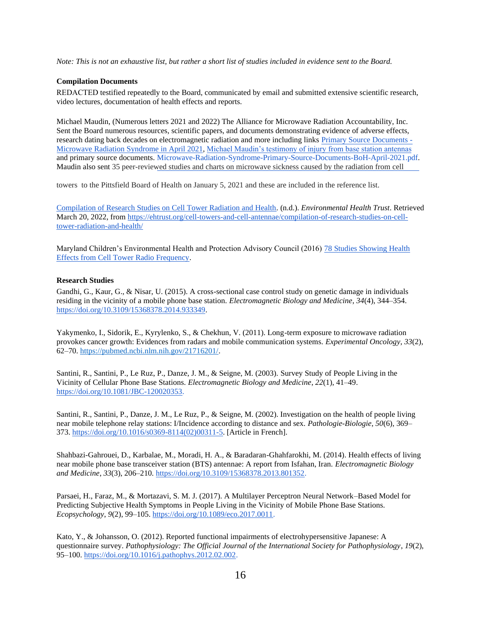*Note: This is not an exhaustive list, but rather a short list of studies included in evidence sent to the Board.* 

# **Compilation Documents**

REDACTED [testified repeatedly to the Board, communicated by em](https://ehtrust.org/wp-content/uploads/Compilation-of-Testimony-from-Courtney-Gilardi-and-her-family-1.pdf)ail and submitted extensive scientific research, video lectures, documentation of health effects and reports.

Michael Maudin, (Numerous letters 2021 and 2022) The Alliance for Microwave Radiation Accountability, Inc. Sent the Board numerous resources, scientific papers, and documents demonstrating evidence of adverse effects, research dating back decades on electromagnetic radiation and more including links Primary Source Documents - Microwave Radiation Syndrome in April 2021, Michael Maudin's testimony of inju[ry from base station antennas](https://alliance4mra.org/eighty-years-of-primary-source-materials-on-microwave-radiation-syndrome/) [and primary source documents.](https://alliance4mra.org/eighty-years-of-primary-source-materials-on-microwave-radiation-syndrome/) [Microwave-Radiation-Syndrome-Primary-Source-Documents-BoH-April-2021.pdf.](https://ehtrust.org/wp-content/uploads/Environmental-Health-Trust-Mail-Microwave-Radiation-Syndrome-Primary-Source-Documents-BoH-April-2021.pdf)  Maudin also sent 35 peer-reviewed studies and charts on microwave sickness caused by the radiation from cell

towers to the Pittsfield Board of Health on January 5, 2021 and these are included in the reference list.

[Compilation of Research Studies on Cell Tower Radiation and Health.](https://ehtrust.org/cell-towers-and-cell-antennae/compilation-of-research-studies-on-cell-tower-radiation-and-health/) (n.d.). *Environmental Health Trust*. Retrieved March 20, 2022, from [https://ehtrust.org/cell-towers-and-cell-antennae/compilation-of-research-studies-on-cell](https://ehtrust.org/cell-towers-and-cell-antennae/compilation-of-research-studies-on-cell-tower-radiation-and-health/)[tower-radiation-and-health/](https://ehtrust.org/cell-towers-and-cell-antennae/compilation-of-research-studies-on-cell-tower-radiation-and-health/)

Maryland Children's Environmental Health and Protection Advisory Council (2016) [78 Studies Showing Health](https://health.maryland.gov/phpa/OEHFP/EH/Shared%20Documents/CEHPAC/CEHPAC%20Dec%2013%20Comments%20Part%203.pdf)  [Effects from Cell Tower Radio Frequency.](https://health.maryland.gov/phpa/OEHFP/EH/Shared%20Documents/CEHPAC/CEHPAC%20Dec%2013%20Comments%20Part%203.pdf)

# **Research Studies**

Gandhi, G., Kaur, G., & Nisar, U. (2015). A cross-sectional case control study on genetic damage in individuals residing in the vicinity of a mobile phone base station. *Electromagnetic Biology and Medicine*, *34*(4), 344–35[4.](https://doi.org/10.3109/15368378.2014.933349) [https://doi.org/10.3109/15368378.2014.933349.](https://doi.org/10.3109/15368378.2014.933349)

Yakymenko, I., Sidorik, E., Kyrylenko, S., & Chekhun, V. (2011). Long-term exposure to microwave radiation provokes cancer growth: Evidences from radars and mobile communication systems. *Experimental Oncology*, *33*(2), 62–70. [https://pubmed.ncbi.nlm.nih.gov/21716201/.](https://pubmed.ncbi.nlm.nih.gov/21716201/)

Santini, R., Santini, P., Le Ruz, P., Danze, J. M., & Seigne, M. (2003). Survey Study of People Living in the Vicinity of Cellular Phone Base Stations. *Electromagnetic Biology and Medicine*, *22*(1), 41–4[9.](https://doi.org/10.1081/JBC-120020353) [https://doi.org/10.1081/JBC-120020353.](https://doi.org/10.1081/JBC-120020353)

Santini, R., Santini, P., Danze, J. M., Le Ruz, P., & Seigne, M. (2002). Investigation on the health of people living near mobile telephone relay stations: I/Incidence according to distance and sex. *Pathologie-Biologie*, *50*(6), 369– 37[3.](https://doi.org/10.1016/s0369-8114(02)00311-5) [https://doi.org/10.1016/s0369-8114\(02\)00311-5.](https://doi.org/10.1016/s0369-8114(02)00311-5) [Article in French].

Shahbazi-Gahrouei, D., Karbalae, M., Moradi, H. A., & Baradaran-Ghahfarokhi, M. (2014). Health effects of living near mobile phone base transceiver station (BTS) antennae: A report from Isfahan, Iran. *Electromagnetic Biology and Medicine*, *33*(3), 206–210. [https://doi.org/10.3109/15368378.2013.801352.](https://doi.org/10.3109/15368378.2013.801352)

Parsaei, H., Faraz, M., & Mortazavi, S. M. J. (2017). A Multilayer Perceptron Neural Network–Based Model for Predicting Subjective Health Symptoms in People Living in the Vicinity of Mobile Phone Base Stations. *Ecopsychology*, *9*(2), 99–10[5.](https://doi.org/10.1089/eco.2017.0011) [https://doi.org/10.1089/eco.2017.0011.](https://doi.org/10.1089/eco.2017.0011)

Kato, Y., & Johansson, O. (2012). Reported functional impairments of electrohypersensitive Japanese: A questionnaire survey. *Pathophysiology: The Official Journal of the International Society for Pathophysiology*, *19*(2), 95–10[0.](https://doi.org/10.1016/j.pathophys.2012.02.002) [https://doi.org/10.1016/j.pathophys.2012.02.002.](https://doi.org/10.1016/j.pathophys.2012.02.002)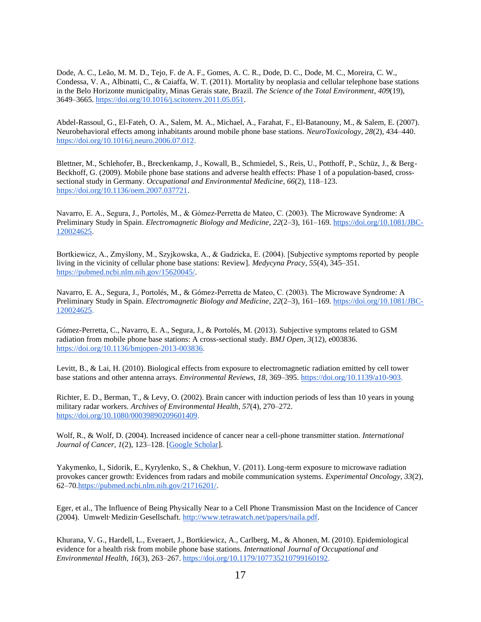Dode, A. C., Leão, M. M. D., Tejo, F. de A. F., Gomes, A. C. R., Dode, D. C., Dode, M. C., Moreira, C. W., Condessa, V. A., Albinatti, C., & Caiaffa, W. T. (2011). Mortality by neoplasia and cellular telephone base stations in the Belo Horizonte municipality, Minas Gerais state, Brazil. *The Science of the Total Environment*, *409*(19), 3649–366[5.](https://doi.org/10.1016/j.scitotenv.2011.05.051) [https://doi.org/10.1016/j.scitotenv.2011.05.051.](https://doi.org/10.1016/j.scitotenv.2011.05.051)

Abdel-Rassoul, G., El-Fateh, O. A., Salem, M. A., Michael, A., Farahat, F., El-Batanouny, M., & Salem, E. (2007). Neurobehavioral effects among inhabitants around mobile phone base stations. *NeuroToxicology*, *28*(2), 434–440[.](https://doi.org/10.1016/j.neuro.2006.07.012) [https://doi.org/10.1016/j.neuro.2006.07.012.](https://doi.org/10.1016/j.neuro.2006.07.012)

Blettner, M., Schlehofer, B., Breckenkamp, J., Kowall, B., Schmiedel, S., Reis, U., Potthoff, P., Schüz, J., & Berg-Beckhoff, G. (2009). Mobile phone base stations and adverse health effects: Phase 1 of a population-based, crosssectional study in Germany. *Occupational and Environmental Medicine*, *66*(2), 118–12[3.](https://doi.org/10.1136/oem.2007.037721) [https://doi.org/10.1136/oem.2007.037721.](https://doi.org/10.1136/oem.2007.037721)

Navarro, E. A., Segura, J., Portolés, M., & Gómez‐Perretta de Mateo, C. (2003). The Microwave Syndrome: A Preliminary Study in Spain. *Electromagnetic Biology and Medicine*, *22*(2–3), 161–16[9.](https://doi.org/10.1081/JBC-120024625) [https://doi.org/10.1081/JBC-](https://doi.org/10.1081/JBC-120024625)[120024625.](https://doi.org/10.1081/JBC-120024625)

Bortkiewicz, A., Zmyślony, M., Szyjkowska, A., & Gadzicka, E. (2004). [Subjective symptoms reported by people living in the vicinity of cellular phone base stations: Review]. *Medycyna Pracy*, *55*(4), 345–351. [https://pubmed.ncbi.nlm.nih.gov/15620045/.](https://pubmed.ncbi.nlm.nih.gov/15620045/)

Navarro, E. A., Segura, J., Portolés, M., & Gómez‐Perretta de Mateo, C. (2003). The Microwave Syndrome: A Preliminary Study in Spain. *Electromagnetic Biology and Medicine*, *22*(2–3), 161–16[9.](https://doi.org/10.1081/JBC-120024625) [https://doi.org/10.1081/JBC-](https://doi.org/10.1081/JBC-120024625)[120024625.](https://doi.org/10.1081/JBC-120024625)

Gómez-Perretta, C., Navarro, E. A., Segura, J., & Portolés, M. (2013). Subjective symptoms related to GSM radiation from mobile phone base stations: A cross-sectional study. *BMJ Open*, *3*(12), e003836[.](https://doi.org/10.1136/bmjopen-2013-003836) [https://doi.org/10.1136/bmjopen-2013-003836.](https://doi.org/10.1136/bmjopen-2013-003836)

Levitt, B., & Lai, H. (2010). Biological effects from exposure to electromagnetic radiation emitted by cell tower base stations and other antenna arrays. *Environmental Reviews*, *18*, 369–39[5.](https://doi.org/10.1139/a10-903) [https://doi.org/10.1139/a10-903.](https://doi.org/10.1139/a10-903)

Richter, E. D., Berman, T., & Levy, O. (2002). Brain cancer with induction periods of less than 10 years in young military radar workers. *Archives of Environmental Health*, *57*(4), 270–27[2.](https://doi.org/10.1080/00039890209601409) [https://doi.org/10.1080/00039890209601409.](https://doi.org/10.1080/00039890209601409)

Wolf, R., & Wolf, D. (2004). Increased incidence of cancer near a cell-phone transmitter station. *International Journal of Cancer*, *1*(2), 123–128. [\[Google Scholar\]](https://scholar.google.com/scholar_lookup?journal=Int+J+Cancer+Prevention&volume=1&publication_year=2004&pages=1&).

Yakymenko, I., Sidorik, E., Kyrylenko, S., & Chekhun, V. (2011). Long-term exposure to microwave radiation provokes cancer growth: Evidences from radars and mobile communication systems. *Experimental Oncology*, *33*(2), 62–7[0.https://pubmed.ncbi.nlm.nih.gov/21716201/.](https://pubmed.ncbi.nlm.nih.gov/21716201/)

Eger, et al., The Influence of Being Physically Near to a Cell Phone Transmission Mast on the Incidence of Cancer (2004). Umwelt·Medizin·Gesellschaft. [http://www.tetrawatch.net/papers/naila.pdf.](http://www.tetrawatch.net/papers/naila.pdf)

Khurana, V. G., Hardell, L., Everaert, J., Bortkiewicz, A., Carlberg, M., & Ahonen, M. (2010). Epidemiological evidence for a health risk from mobile phone base stations. *International Journal of Occupational and Environmental Health*, *16*(3), 263–267[.](https://doi.org/10.1179/107735210799160192) [https://doi.org/10.1179/107735210799160192.](https://doi.org/10.1179/107735210799160192)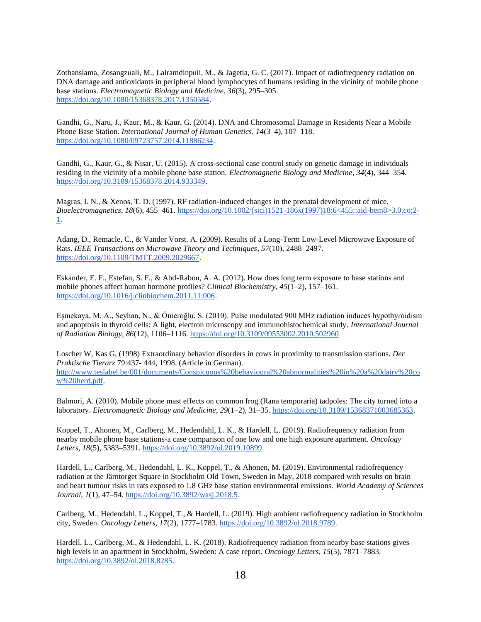Zothansiama, Zosangzuali, M., Lalramdinpuii, M., & Jagetia, G. C. (2017). Impact of radiofrequency radiation on DNA damage and antioxidants in peripheral blood lymphocytes of humans residing in the vicinity of mobile phone base stations. *Electromagnetic Biology and Medicine*, *36*(3), 295–305[.](https://doi.org/10.1080/15368378.2017.1350584) [https://doi.org/10.1080/15368378.2017.1350584.](https://doi.org/10.1080/15368378.2017.1350584)

Gandhi, G., Naru, J., Kaur, M., & Kaur, G. (2014). DNA and Chromosomal Damage in Residents Near a Mobile Phone Base Station. *International Journal of Human Genetics*, *14*(3–4), 107–118[.](https://doi.org/10.1080/09723757.2014.11886234) [https://doi.org/10.1080/09723757.2014.11886234.](https://doi.org/10.1080/09723757.2014.11886234)

Gandhi, G., Kaur, G., & Nisar, U. (2015). A cross-sectional case control study on genetic damage in individuals residing in the vicinity of a mobile phone base station. *Electromagnetic Biology and Medicine*, *34*(4), 344–35[4.](https://doi.org/10.3109/15368378.2014.933349) [https://doi.org/10.3109/15368378.2014.933349.](https://doi.org/10.3109/15368378.2014.933349)

Magras, I. N., & Xenos, T. D. (1997). RF radiation-induced changes in the prenatal development of mice. *Bioelectromagnetics*, *18*(6), 455–46[1.](https://doi.org/10.1002/(sici)1521-186x(1997)18:6%3C455::aid-bem8%3E3.0.co;2-1) [https://doi.org/10.1002/\(sici\)1521-186x\(1997\)18:6<455::aid-bem8>3.0.co;2-](https://doi.org/10.1002/(sici)1521-186x(1997)18:6%3C455::aid-bem8%3E3.0.co;2-1) [1.](https://doi.org/10.1002/(sici)1521-186x(1997)18:6%3C455::aid-bem8%3E3.0.co;2-1)

Adang, D., Remacle, C., & Vander Vorst, A. (2009). Results of a Long-Term Low-Level Microwave Exposure of Rats. *IEEE Transactions on Microwave Theory and Techniques*, *57*(10), 2488–249[7.](https://doi.org/10.1109/TMTT.2009.2029667) [https://doi.org/10.1109/TMTT.2009.2029667.](https://doi.org/10.1109/TMTT.2009.2029667)

Eskander, E. F., Estefan, S. F., & Abd-Rabou, A. A. (2012). How does long term exposure to base stations and mobile phones affect human hormone profiles? *Clinical Biochemistry*, *45*(1–2), 157–161[.](https://doi.org/10.1016/j.clinbiochem.2011.11.006) [https://doi.org/10.1016/j.clinbiochem.2011.11.006.](https://doi.org/10.1016/j.clinbiochem.2011.11.006)

Eşmekaya, M. A., Seyhan, N., & Ömeroğlu, S. (2010). Pulse modulated 900 MHz radiation induces hypothyroidism and apoptosis in thyroid cells: A light, electron microscopy and immunohistochemical study. *International Journal of Radiation Biology*, *86*(12), 1106–111[6.](https://doi.org/10.3109/09553002.2010.502960) [https://doi.org/10.3109/09553002.2010.502960.](https://doi.org/10.3109/09553002.2010.502960)

Loscher W, Kas G, (1998) Extraordinary behavior disorders in cows in proximity to transmission stations. *Der Praktische Tierarz* 79:437- 444, 1998. (Article in German). [http://www.teslabel.be/001/documents/Conspicuous%20behavioural%20abnormalities%20in%20a%20dairy%20co](http://www.teslabel.be/001/documents/Conspicuous%20behavioural%20abnormalities%20in%20a%20dairy%20cow%20herd.pdf) [w%20herd.pdf.](http://www.teslabel.be/001/documents/Conspicuous%20behavioural%20abnormalities%20in%20a%20dairy%20cow%20herd.pdf)

Balmori, A. (2010). Mobile phone mast effects on common frog (Rana temporaria) tadpoles: The city turned into a laboratory. *Electromagnetic Biology and Medicine*, *29*(1–2), 31–35[.](https://doi.org/10.3109/15368371003685363) [https://doi.org/10.3109/15368371003685363.](https://doi.org/10.3109/15368371003685363)

Koppel, T., Ahonen, M., Carlberg, M., Hedendahl, L. K., & Hardell, L. (2019). Radiofrequency radiation from nearby mobile phone base stations-a case comparison of one low and one high exposure apartment. *Oncology Letters*, *18*(5), 5383–5391. [https://doi.org/10.3892/ol.2019.10899.](https://doi.org/10.3892/ol.2019.10899)

Hardell, L., Carlberg, M., Hedendahl, L. K., Koppel, T., & Ahonen, M. (2019). Environmental radiofrequency radiation at the Järntorget Square in Stockholm Old Town, Sweden in May, 2018 compared with results on brain and heart tumour risks in rats exposed to 1.8 GHz base station environmental emissions. *World Academy of Sciences Journal*, *1*(1), 47–54[.](https://doi.org/10.3892/wasj.2018.5) [https://doi.org/10.3892/wasj.2018.5.](https://doi.org/10.3892/wasj.2018.5)

Carlberg, M., Hedendahl, L., Koppel, T., & Hardell, L. (2019). High ambient radiofrequency radiation in Stockholm city, Sweden. *Oncology Letters*, *17*(2), 1777–1783. [https://doi.org/10.3892/ol.2018.9789.](https://doi.org/10.3892/ol.2018.9789)

Hardell, L., Carlberg, M., & Hedendahl, L. K. (2018). Radiofrequency radiation from nearby base stations gives high levels in an apartment in Stockholm, Sweden: A case report. *Oncology Letters*, *15*(5), 7871–7883[.](https://doi.org/10.3892/ol.2018.8285) [https://doi.org/10.3892/ol.2018.8285.](https://doi.org/10.3892/ol.2018.8285)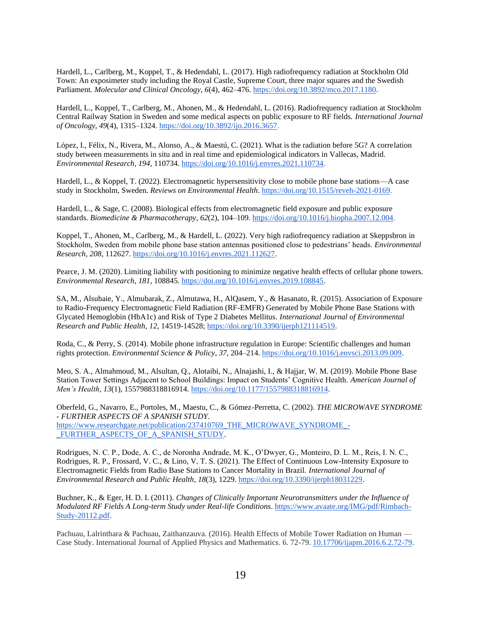Hardell, L., Carlberg, M., Koppel, T., & Hedendahl, L. (2017). High radiofrequency radiation at Stockholm Old Town: An exposimeter study including the Royal Castle, Supreme Court, three major squares and the Swedish Parliament. *Molecular and Clinical Oncology*, *6*(4), 462–47[6.](https://doi.org/10.3892/mco.2017.1180) [https://doi.org/10.3892/mco.2017.1180.](https://doi.org/10.3892/mco.2017.1180)

Hardell, L., Koppel, T., Carlberg, M., Ahonen, M., & Hedendahl, L. (2016). Radiofrequency radiation at Stockholm Central Railway Station in Sweden and some medical aspects on public exposure to RF fields. *International Journal of Oncology*, *49*(4), 1315–1324[.](https://doi.org/10.3892/ijo.2016.3657) [https://doi.org/10.3892/ijo.2016.3657.](https://doi.org/10.3892/ijo.2016.3657)

López, I., Félix, N., Rivera, M., Alonso, A., & Maestú, C. (2021). What is the radiation before 5G? A correlation study between measurements in situ and in real time and epidemiological indicators in Vallecas, Madrid. *Environmental Research*, *194*, 11073[4.](https://doi.org/10.1016/j.envres.2021.110734) [https://doi.org/10.1016/j.envres.2021.110734.](https://doi.org/10.1016/j.envres.2021.110734)

Hardell, L., & Koppel, T. (2022). Electromagnetic hypersensitivity close to mobile phone base stations—A case study in Stockholm, Sweden. *Reviews on Environmental Health*. [https://doi.org/10.1515/reveh-2021-0169.](https://doi.org/10.1515/reveh-2021-0169)

Hardell, L., & Sage, C. (2008). Biological effects from electromagnetic field exposure and public exposure standards. *Biomedicine & Pharmacotherapy*, *62*(2), 104–109. [https://doi.org/10.1016/j.biopha.2007.12.004.](https://doi.org/10.1016/j.biopha.2007.12.004)

Koppel, T., Ahonen, M., Carlberg, M., & Hardell, L. (2022). Very high radiofrequency radiation at Skeppsbron in Stockholm, Sweden from mobile phone base station antennas positioned close to pedestrians' heads. *Environmental Research*, *208*, 11262[7.](https://doi.org/10.1016/j.envres.2021.112627) [https://doi.org/10.1016/j.envres.2021.112627.](https://doi.org/10.1016/j.envres.2021.112627)

Pearce, J. M. (2020). Limiting liability with positioning to minimize negative health effects of cellular phone towers. *Environmental Research*, *181*, 10884[5.](https://doi.org/10.1016/j.envres.2019.108845) [https://doi.org/10.1016/j.envres.2019.108845.](https://doi.org/10.1016/j.envres.2019.108845)

SA, M., Alsubaie, Y., Almubarak, Z., Almutawa, H., AlQasem, Y., & Hasanato, R. (2015). Association of Exposure to Radio-Frequency Electromagnetic Field Radiation (RF-EMFR) Generated by Mobile Phone Base Stations with Glycated Hemoglobin (HbA1c) and Risk of Type 2 Diabetes Mellitus. *International Journal of Environmental Research and Public Health*, *12*, 14519-14528[;](https://doi.org/10.3390/ijerph121114519) [https://doi.org/10.3390/ijerph121114519.](https://doi.org/10.3390/ijerph121114519)

Roda, C., & Perry, S. (2014). Mobile phone infrastructure regulation in Europe: Scientific challenges and human rights protection. *Environmental Science & Policy*, *37*, 204–214[.](https://doi.org/10.1016/j.envsci.2013.09.009) [https://doi.org/10.1016/j.envsci.2013.09.009.](https://doi.org/10.1016/j.envsci.2013.09.009)

Meo, S. A., Almahmoud, M., Alsultan, Q., Alotaibi, N., Alnajashi, I., & Hajjar, W. M. (2019). Mobile Phone Base Station Tower Settings Adjacent to School Buildings: Impact on Students' Cognitive Health. *American Journal of Men's Health*, *13*(1), 1557988318816914. [https://doi.org/10.1177/1557988318816914.](https://doi.org/10.1177/1557988318816914)

Oberfeld, G., Navarro, E., Portoles, M., Maestu, C., & Gómez-Perretta, C. (2002). *THE MICROWAVE SYNDROME - FURTHER ASPECTS OF A SPANISH STUDY*. [https://www.researchgate.net/publication/237410769\\_THE\\_MICROWAVE\\_SYNDROME\\_-](https://www.researchgate.net/publication/237410769_THE_MICROWAVE_SYNDROME_-_FURTHER_ASPECTS_OF_A_SPANISH_STUDY) [\\_FURTHER\\_ASPECTS\\_OF\\_A\\_SPANISH\\_STUDY.](https://www.researchgate.net/publication/237410769_THE_MICROWAVE_SYNDROME_-_FURTHER_ASPECTS_OF_A_SPANISH_STUDY)

Rodrigues, N. C. P., Dode, A. C., de Noronha Andrade, M. K., O'Dwyer, G., Monteiro, D. L. M., Reis, I. N. C., Rodrigues, R. P., Frossard, V. C., & Lino, V. T. S. (2021). The Effect of Continuous Low-Intensity Exposure to Electromagnetic Fields from Radio Base Stations to Cancer Mortality in Brazil. *International Journal of Environmental Research and Public Health*, *18*(3), 1229[.](https://doi.org/10.3390/ijerph18031229) [https://doi.org/10.3390/ijerph18031229.](https://doi.org/10.3390/ijerph18031229)

Buchner, K., & Eger, H. D. I. (2011). *Changes of Clinically Important Neurotransmitters under the Influence of Modulated RF Fields A Long-term Study under Real-life Conditions*[.](https://www.avaate.org/IMG/pdf/Rimbach-Study-20112.pdf) [https://www.avaate.org/IMG/pdf/Rimbach-](https://www.avaate.org/IMG/pdf/Rimbach-Study-20112.pdf)[Study-20112.pdf.](https://www.avaate.org/IMG/pdf/Rimbach-Study-20112.pdf)

Pachuau, Lalrinthara & Pachuau, Zaithanzauva. (2016). Health Effects of Mobile Tower Radiation on Human — Case Study. International Journal of Applied Physics and Mathematics. 6. 72-79[. 10.17706/ijapm.2016.6.2.72-79.](http://www.ijapm.org/show-64-517-1.html)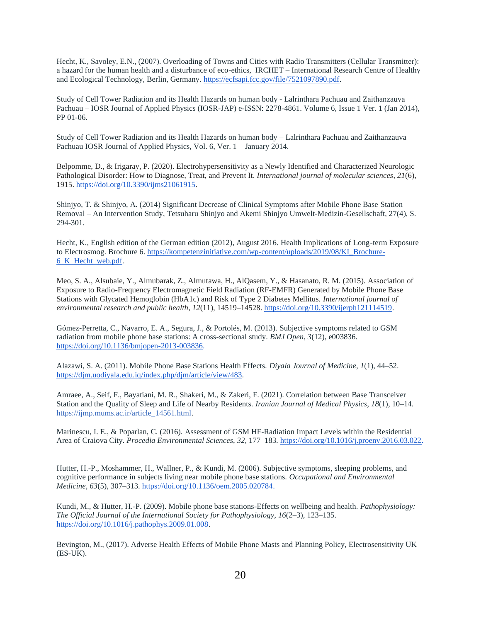Hecht, K., Savoley, E.N., (2007). Overloading of Towns and Cities with Radio Transmitters (Cellular Transmitter): a hazard for the human health and a disturbance of eco-ethics, IRCHET – International Research Centre of Healthy and Ecological Technology, Berlin, Germany. [https://ecfsapi.fcc.gov/file/7521097890.pdf.](https://ecfsapi.fcc.gov/file/7521097890.pdf)

Study of Cell Tower Radiation and its Health Hazards on human body - Lalrinthara Pachuau and Zaithanzauva Pachuau – IOSR Journal of Applied Physics (IOSR-JAP) e-ISSN: 2278-4861. Volume 6, Issue 1 Ver. 1 (Jan 2014), PP 01-06.

Study of Cell Tower Radiation and its Health Hazards on human body – Lalrinthara Pachuau and Zaithanzauva Pachuau IOSR Journal of Applied Physics, Vol. 6, Ver. 1 – January 2014.

Belpomme, D., & Irigaray, P. (2020). Electrohypersensitivity as a Newly Identified and Characterized Neurologic Pathological Disorder: How to Diagnose, Treat, and Prevent It. *International journal of molecular sciences*, *21*(6), 1915. [https://doi.org/10.3390/ijms21061915.](https://doi.org/10.3390/ijms21061915)

Shinjyo, T. & Shinjyo, A. (2014) Significant Decrease of Clinical Symptoms after Mobile Phone Base Station Removal – An Intervention Study, Tetsuharu Shinjyo and Akemi Shinjyo Umwelt-Medizin-Gesellschaft, 27(4), S. 294-301.

Hecht, K., English edition of the German edition (2012), August 2016. Health Implications of Long-term Exposure to Electrosmog. Brochure 6[. https://kompetenzinitiative.com/wp-content/uploads/2019/08/KI\\_Brochure-](https://kompetenzinitiative.com/wp-content/uploads/2019/08/KI_Brochure-6_K_Hecht_web.pdf)[6\\_K\\_Hecht\\_web.pdf.](https://kompetenzinitiative.com/wp-content/uploads/2019/08/KI_Brochure-6_K_Hecht_web.pdf)

Meo, S. A., Alsubaie, Y., Almubarak, Z., Almutawa, H., AlQasem, Y., & Hasanato, R. M. (2015). Association of Exposure to Radio-Frequency Electromagnetic Field Radiation (RF-EMFR) Generated by Mobile Phone Base Stations with Glycated Hemoglobin (HbA1c) and Risk of Type 2 Diabetes Mellitus. *International journal of environmental research and public health*, *12*(11), 14519–14528[. https://doi.org/10.3390/ijerph121114519.](https://doi.org/10.3390/ijerph121114519)

Gómez-Perretta, C., Navarro, E. A., Segura, J., & Portolés, M. (2013). Subjective symptoms related to GSM radiation from mobile phone base stations: A cross-sectional study. *BMJ Open*, *3*(12), e003836[.](https://doi.org/10.1136/bmjopen-2013-003836) [https://doi.org/10.1136/bmjopen-2013-003836.](https://doi.org/10.1136/bmjopen-2013-003836)

Alazawi, S. A. (2011). Mobile Phone Base Stations Health Effects. *Diyala Journal of Medicine*, *1*(1), 44–52. [https://djm.uodiyala.edu.iq/index.php/djm/article/view/483.](https://djm.uodiyala.edu.iq/index.php/djm/article/view/483)

Amraee, A., Seif, F., Bayatiani, M. R., Shakeri, M., & Zakeri, F. (2021). Correlation between Base Transceiver Station and the Quality of Sleep and Life of Nearby Residents. *Iranian Journal of Medical Physics*, *18*(1), 10–14. [https://ijmp.mums.ac.ir/article\\_14561.html.](https://ijmp.mums.ac.ir/article_14561.html)

Marinescu, I. E., & Poparlan, C. (2016). Assessment of GSM HF-Radiation Impact Levels within the Residential Area of Craiova City. *Procedia Environmental Sciences*, *32*, 177–183[.](https://doi.org/10.1016/j.proenv.2016.03.022) [https://doi.org/10.1016/j.proenv.2016.03.022.](https://doi.org/10.1016/j.proenv.2016.03.022)

Hutter, H.-P., Moshammer, H., Wallner, P., & Kundi, M. (2006). Subjective symptoms, sleeping problems, and cognitive performance in subjects living near mobile phone base stations. *Occupational and Environmental Medicine*, *63*(5), 307–313[.](https://doi.org/10.1136/oem.2005.020784) [https://doi.org/10.1136/oem.2005.020784.](https://doi.org/10.1136/oem.2005.020784)

Kundi, M., & Hutter, H.-P. (2009). Mobile phone base stations-Effects on wellbeing and health. *Pathophysiology: The Official Journal of the International Society for Pathophysiology*, *16*(2–3), 123–135[.](https://doi.org/10.1016/j.pathophys.2009.01.008) [https://doi.org/10.1016/j.pathophys.2009.01.008.](https://doi.org/10.1016/j.pathophys.2009.01.008)

Bevington, M., (2017). Adverse Health Effects of Mobile Phone Masts and Planning Policy, Electrosensitivity UK (ES-UK).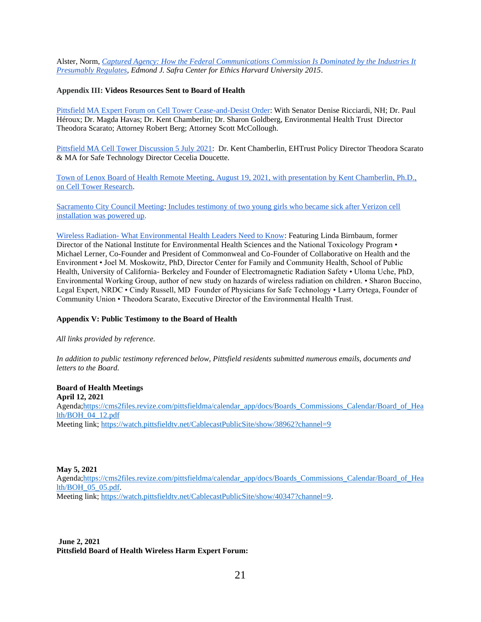Alster, Norm, *[Captured Agency: How the Federal Communications Commission Is Dominated by the Industries It](https://ethics.harvard.edu/files/center-for-ethics/files/capturedagency_alster.pdf)  [Presumably Regulates,](https://ethics.harvard.edu/files/center-for-ethics/files/capturedagency_alster.pdf) Edmond J. Safra Center for Ethics Harvard University 2015*.

#### **Appendix III: Videos Resources Sent to Board of Health**

[Pittsfield MA Expert Forum on Cell Tower Cease-and-Desist Order:](https://www.youtube.com/watch?v=LZLbcOHpns8) With Senator Denise Ricciardi, NH; Dr. Paul Héroux; Dr. Magda Havas; Dr. Kent Chamberlin; Dr. Sharon Goldberg, Environmental Health Trust Director Theodora Scarato; Attorney Robert Berg; Attorney Scott McCollough.

[Pittsfield MA Cell Tower Discussion 5 July 2021:](https://youtu.be/IsxLgJ8KXT0?t=2276) Dr. Kent Chamberlin, EHTrust Policy Director Theodora Scarato & MA for Safe Technology Director Cecelia Doucette.

[Town of Lenox Board of Health Remote Meeting, August 19, 2021, with presentation by Kent Chamberlin, Ph.D.,](https://trms.ctsbtv.org/CablecastPublicSite/show/21483?channel=3&fbclid=IwAR05lA_sPY4UOyfb7R95muqOtxQaGCQf3mAP3tUVpxQBsyDFEviGZV6mqmA)  [on Cell Tower Research.](https://trms.ctsbtv.org/CablecastPublicSite/show/21483?channel=3&fbclid=IwAR05lA_sPY4UOyfb7R95muqOtxQaGCQf3mAP3tUVpxQBsyDFEviGZV6mqmA)

[Sacramento City Council Meeting:](https://www.youtube.com/watch?v=kgxd1X8as-U) Includes testimony of two young girls who became sick after Verizon cell installation was powered up.

Wireless Radiation- [What Environmental Health Leaders Need to Know:](https://www.youtube.com/watch?v=e5ABKmLP0rE) Featuring Linda Birnbaum, former Director of the National Institute for Environmental Health Sciences and the National Toxicology Program • Michael Lerner, Co-Founder and President of Commonweal and Co-Founder of Collaborative on Health and the Environment • Joel M. Moskowitz, PhD, Director Center for Family and Community Health, School of Public Health, University of California- Berkeley and Founder of Electromagnetic Radiation Safety • Uloma Uche, PhD, Environmental Working Group, author of new study on hazards of wireless radiation on children. • Sharon Buccino, Legal Expert, NRDC • Cindy Russell, MD Founder of Physicians for Safe Technology • Larry Ortega, Founder of Community Union • Theodora Scarato, Executive Director of the Environmental Health Trust.

#### **Appendix V: Public Testimony to the Board of Health**

*All links provided by reference.* 

*In addition to public testimony referenced below, Pittsfield residents submitted numerous emails, documents and letters to the Board.* 

**Board of Health Meetings April 12, 2021**  Agenda[;https://cms2files.revize.com/pittsfieldma/calendar\\_app/docs/Boards\\_Commissions\\_Calendar/Board\\_of\\_Hea](https://cms2files.revize.com/pittsfieldma/calendar_app/docs/Boards_Commissions_Calendar/Board_of_Health/BOH_04_12.pdf) [lth/BOH\\_04\\_12.pdf](https://cms2files.revize.com/pittsfieldma/calendar_app/docs/Boards_Commissions_Calendar/Board_of_Health/BOH_04_12.pdf) Meeting link[; https://watch.pittsfieldtv.net/CablecastPublicSite/show/38962?channel=9](https://watch.pittsfieldtv.net/CablecastPublicSite/show/38962?channel=9)

#### **May 5, 2021**

Agenda[;https://cms2files.revize.com/pittsfieldma/calendar\\_app/docs/Boards\\_Commissions\\_Calendar/Board\\_of\\_Hea](https://cms2files.revize.com/pittsfieldma/calendar_app/docs/Boards_Commissions_Calendar/Board_of_Health/BOH_05_05.pdf) [lth/BOH\\_05\\_05.pdf.](https://cms2files.revize.com/pittsfieldma/calendar_app/docs/Boards_Commissions_Calendar/Board_of_Health/BOH_05_05.pdf) Meeting link[; https://watch.pittsfieldtv.net/CablecastPublicSite/show/40347?channel=9.](https://watch.pittsfieldtv.net/CablecastPublicSite/show/40347?channel=9)

**June 2, 2021 Pittsfield Board of Health Wireless Harm Expert Forum:**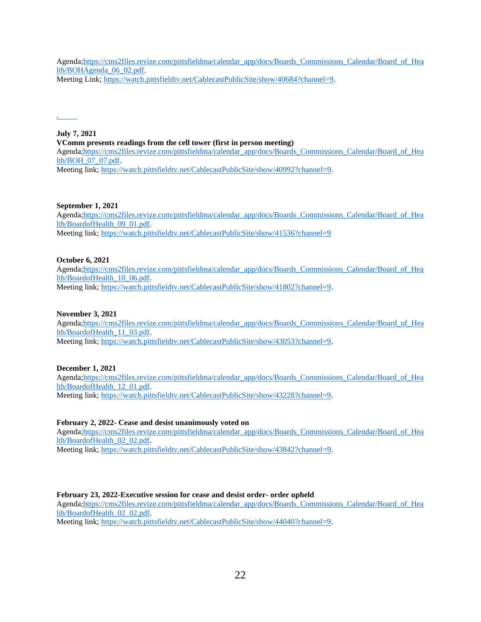Agenda[;https://cms2files.revize.com/pittsfieldma/calendar\\_app/docs/Boards\\_Commissions\\_Calendar/Board\\_of\\_Hea](https://cms2files.revize.com/pittsfieldma/calendar_app/docs/Boards_Commissions_Calendar/Board_of_Health/BOHAgenda_06_02.pdf) [lth/BOHAgenda\\_06\\_02.pdf.](https://cms2files.revize.com/pittsfieldma/calendar_app/docs/Boards_Commissions_Calendar/Board_of_Health/BOHAgenda_06_02.pdf) Meeting Link; [https://watch.pittsfieldtv.net/CablecastPublicSite/show/40684?channel=9.](https://watch.pittsfieldtv.net/CablecastPublicSite/show/40684?channel=9)

[.](https://ehtrust.org/wp-content/uploads/Havas-slides-Pittsflied-cell-tower-Feb-2022.pdf) 

#### **July 7, 2021 VComm presents readings from the cell tower (first in person meeting)**  Agenda[;https://cms2files.revize.com/pittsfieldma/calendar\\_app/docs/Boards\\_Commissions\\_Calendar/Board\\_of\\_Hea](https://cms2files.revize.com/pittsfieldma/calendar_app/docs/Boards_Commissions_Calendar/Board_of_Health/BOH_07_07.pdf) [lth/BOH\\_07\\_07.pdf.](https://cms2files.revize.com/pittsfieldma/calendar_app/docs/Boards_Commissions_Calendar/Board_of_Health/BOH_07_07.pdf) Meeting link[; https://watch.pittsfieldtv.net/CablecastPublicSite/show/40992?channel=9.](https://watch.pittsfieldtv.net/CablecastPublicSite/show/40992?channel=9)

# **September 1, 2021**

Agenda[;https://cms2files.revize.com/pittsfieldma/calendar\\_app/docs/Boards\\_Commissions\\_Calendar/Board\\_of\\_Hea](https://cms2files.revize.com/pittsfieldma/calendar_app/docs/Boards_Commissions_Calendar/Board_of_Health/BoardofHealth_09_01.pdf) [lth/BoardofHealth\\_09\\_01.pdf.](https://cms2files.revize.com/pittsfieldma/calendar_app/docs/Boards_Commissions_Calendar/Board_of_Health/BoardofHealth_09_01.pdf) Meeting link[; https://watch.pittsfieldtv.net/CablecastPublicSite/show/41536?channel=9](https://watch.pittsfieldtv.net/CablecastPublicSite/show/41536?channel=9)

#### **October 6, 2021**

Agenda[;https://cms2files.revize.com/pittsfieldma/calendar\\_app/docs/Boards\\_Commissions\\_Calendar/Board\\_of\\_Hea](https://cms2files.revize.com/pittsfieldma/calendar_app/docs/Boards_Commissions_Calendar/Board_of_Health/BoardofHealth_10_06.pdf) [lth/BoardofHealth\\_10\\_06.pdf.](https://cms2files.revize.com/pittsfieldma/calendar_app/docs/Boards_Commissions_Calendar/Board_of_Health/BoardofHealth_10_06.pdf) Meeting link[; https://watch.pittsfieldtv.net/CablecastPublicSite/show/41802?channel=9.](https://watch.pittsfieldtv.net/CablecastPublicSite/show/41802?channel=9)

## **November 3, 2021**

Agenda[;https://cms2files.revize.com/pittsfieldma/calendar\\_app/docs/Boards\\_Commissions\\_Calendar/Board\\_of\\_Hea](https://cms2files.revize.com/pittsfieldma/calendar_app/docs/Boards_Commissions_Calendar/Board_of_Health/BoardofHealth_11_03.pdf) [lth/BoardofHealth\\_11\\_03.pdf.](https://cms2files.revize.com/pittsfieldma/calendar_app/docs/Boards_Commissions_Calendar/Board_of_Health/BoardofHealth_11_03.pdf) Meeting link[; https://watch.pittsfieldtv.net/CablecastPublicSite/show/43053?channel=9.](https://watch.pittsfieldtv.net/CablecastPublicSite/show/43053?channel=9)

# **December 1, 2021**

Agenda[;https://cms2files.revize.com/pittsfieldma/calendar\\_app/docs/Boards\\_Commissions\\_Calendar/Board\\_of\\_Hea](https://cms2files.revize.com/pittsfieldma/calendar_app/docs/Boards_Commissions_Calendar/Board_of_Health/BoardofHealth_12_01.pdf) [lth/BoardofHealth\\_12\\_01.pdf.](https://cms2files.revize.com/pittsfieldma/calendar_app/docs/Boards_Commissions_Calendar/Board_of_Health/BoardofHealth_12_01.pdf) Meeting link[; https://watch.pittsfieldtv.net/CablecastPublicSite/show/43228?channel=9.](https://watch.pittsfieldtv.net/CablecastPublicSite/show/43228?channel=9)

# **February 2, 2022- Cease and desist unanimously voted on**

Agenda[;https://cms2files.revize.com/pittsfieldma/calendar\\_app/docs/Boards\\_Commissions\\_Calendar/Board\\_of\\_Hea](https://cms2files.revize.com/pittsfieldma/calendar_app/docs/Boards_Commissions_Calendar/Board_of_Health/BoardofHealth_02_02.pdf) [lth/BoardofHealth\\_02\\_02.pdf.](https://cms2files.revize.com/pittsfieldma/calendar_app/docs/Boards_Commissions_Calendar/Board_of_Health/BoardofHealth_02_02.pdf)

Meeting link[; https://watch.pittsfieldtv.net/CablecastPublicSite/show/43842?channel=9.](https://watch.pittsfieldtv.net/CablecastPublicSite/show/43842?channel=9)

# **February 23, 2022-Executive session for cease and desist order- order upheld**

Agenda[;https://cms2files.revize.com/pittsfieldma/calendar\\_app/docs/Boards\\_Commissions\\_Calendar/Board\\_of\\_Hea](https://cms2files.revize.com/pittsfieldma/calendar_app/docs/Boards_Commissions_Calendar/Board_of_Health/BoardofHealth_02_02.pdf) [lth/BoardofHealth\\_02\\_02.pdf.](https://cms2files.revize.com/pittsfieldma/calendar_app/docs/Boards_Commissions_Calendar/Board_of_Health/BoardofHealth_02_02.pdf)

Meeting link[; https://watch.pittsfieldtv.net/CablecastPublicSite/show/44040?channel=9.](https://watch.pittsfieldtv.net/CablecastPublicSite/show/44040?channel=9)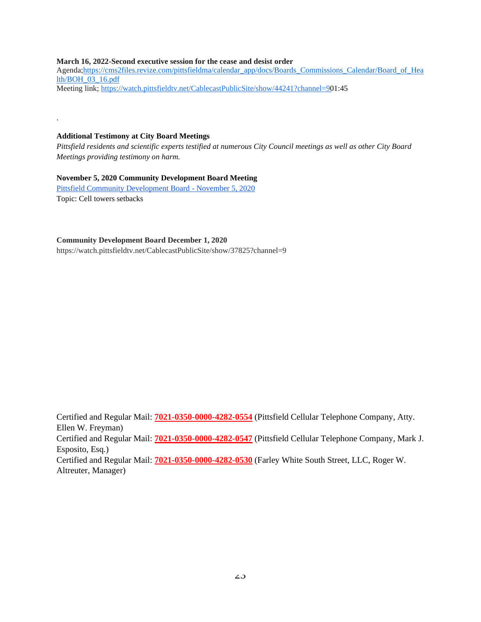#### **March 16, 2022-Second executive session for the cease and desist order**

Agenda[;https://cms2files.revize.com/pittsfieldma/calendar\\_app/docs/Boards\\_Commissions\\_Calendar/Board\\_of\\_Hea](https://cms2files.revize.com/pittsfieldma/calendar_app/docs/Boards_Commissions_Calendar/Board_of_Health/BOH_03_16.pdf) [lth/BOH\\_03\\_16.pdf](https://cms2files.revize.com/pittsfieldma/calendar_app/docs/Boards_Commissions_Calendar/Board_of_Health/BOH_03_16.pdf) Meeting link[; https://watch.pittsfieldtv.net/CablecastPublicSite/show/44241?channel=90](https://watch.pittsfieldtv.net/CablecastPublicSite/show/44241?channel=9)1:45

#### **Additional Testimony at City Board Meetings**

.

*Pittsfield residents and scientific experts testified at numerous City Council meetings as well as other City Board Meetings providing testimony on harm.* 

## **November 5, 2020 Community Development Board Meeting**

[Pittsfield Community Development Board -](https://watch.pittsfieldtv.net/CablecastPublicSite/show/37572?channel=9) November 5, 2020 Topic: Cell towers setbacks

#### **Community Development Board December 1, 2020**

https://watch.pittsfieldtv.net/CablecastPublicSite/show/37825?channel=9

Certified and Regular Mail: **7021-0350-0000-4282-0554** (Pittsfield Cellular Telephone Company, Atty. Ellen W. Freyman) Certified and Regular Mail: **7021-0350-0000-4282-0547** (Pittsfield Cellular Telephone Company, Mark J. Esposito, Esq.) Certified and Regular Mail: **7021-0350-0000-4282-0530** (Farley White South Street, LLC, Roger W. Altreuter, Manager)